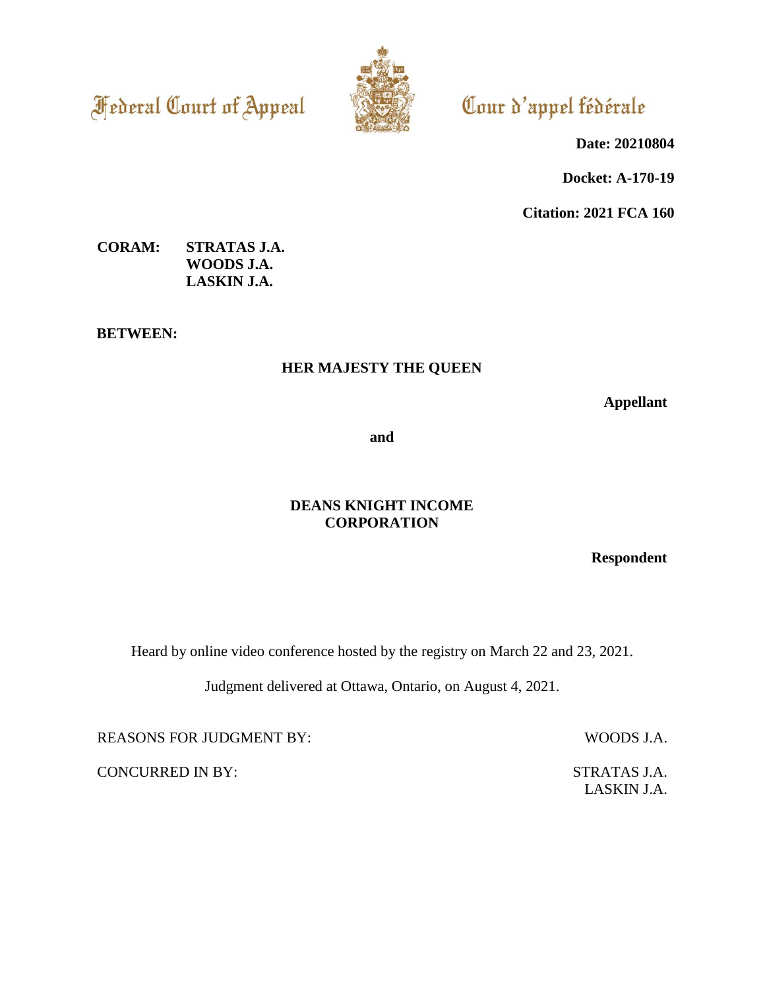**Federal Court of Appeal** 



Cour d'appel fédérale

**Date: 20210804**

**Docket: A-170-19**

**Citation: 2021 FCA 160**

# **CORAM: STRATAS J.A. WOODS J.A. LASKIN J.A.**

**BETWEEN:**

# **HER MAJESTY THE QUEEN**

**Appellant**

**and**

# **DEANS KNIGHT INCOME CORPORATION**

**Respondent**

Heard by online video conference hosted by the registry on March 22 and 23, 2021.

Judgment delivered at Ottawa, Ontario, on August 4, 2021.

REASONS FOR JUDGMENT BY: WOODS J.A.

CONCURRED IN BY: STRATAS J.A.

LASKIN J.A.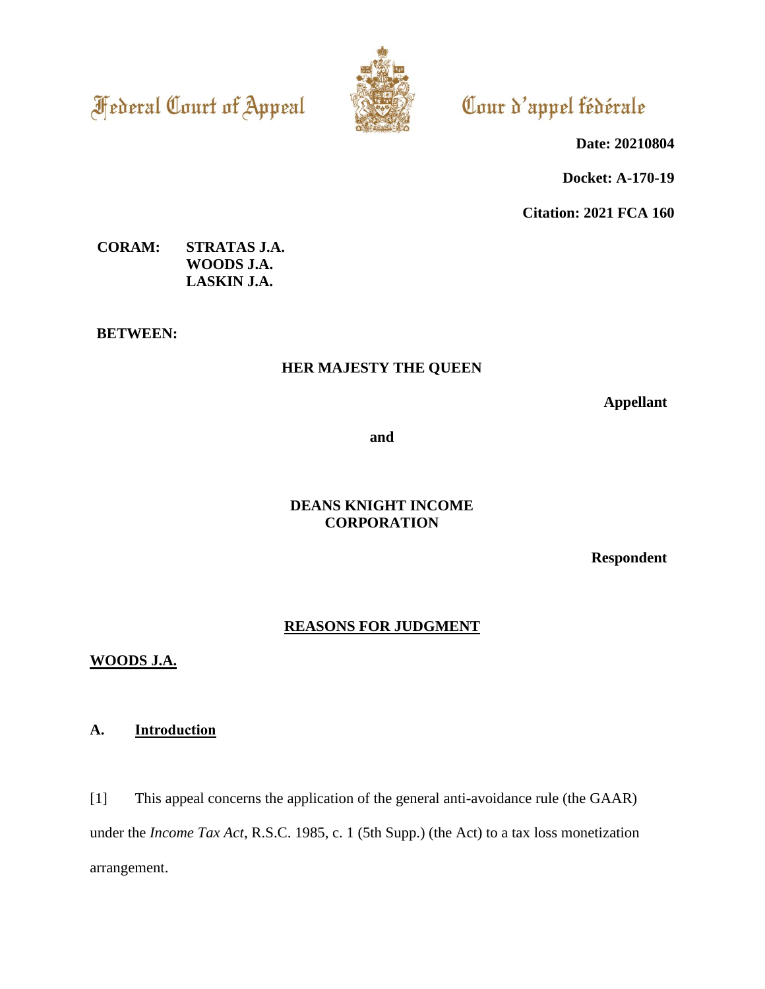**Federal Court of Appeal** 



# Cour d'appel fédérale

**Date: 20210804**

**Docket: A-170-19**

**Citation: 2021 FCA 160**

# **CORAM: STRATAS J.A. WOODS J.A. LASKIN J.A.**

**BETWEEN:**

# **HER MAJESTY THE QUEEN**

**Appellant**

**and**

# **DEANS KNIGHT INCOME CORPORATION**

**Respondent**

# **REASONS FOR JUDGMENT**

# **WOODS J.A.**

# **A. Introduction**

[1] This appeal concerns the application of the general anti-avoidance rule (the GAAR) under the *Income Tax Act*, R.S.C. 1985, c. 1 (5th Supp.) (the Act) to a tax loss monetization arrangement.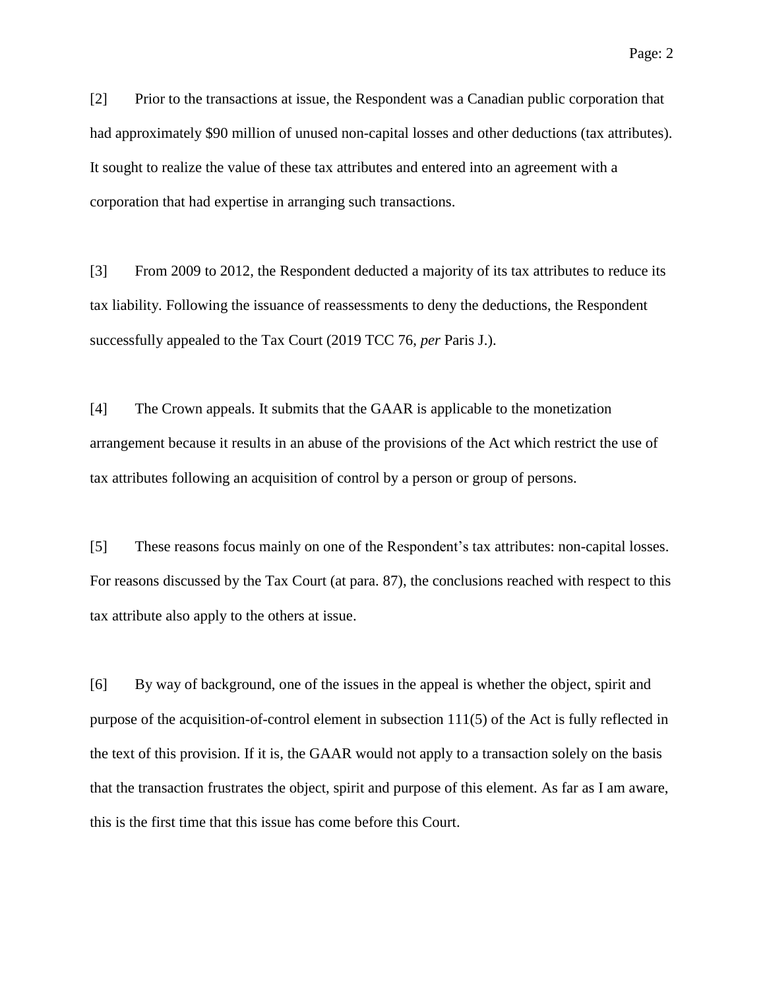[2] Prior to the transactions at issue, the Respondent was a Canadian public corporation that had approximately \$90 million of unused non-capital losses and other deductions (tax attributes). It sought to realize the value of these tax attributes and entered into an agreement with a corporation that had expertise in arranging such transactions.

[3] From 2009 to 2012, the Respondent deducted a majority of its tax attributes to reduce its tax liability. Following the issuance of reassessments to deny the deductions, the Respondent successfully appealed to the Tax Court (2019 TCC 76, *per* Paris J.).

[4] The Crown appeals. It submits that the GAAR is applicable to the monetization arrangement because it results in an abuse of the provisions of the Act which restrict the use of tax attributes following an acquisition of control by a person or group of persons.

[5] These reasons focus mainly on one of the Respondent's tax attributes: non-capital losses. For reasons discussed by the Tax Court (at para. 87), the conclusions reached with respect to this tax attribute also apply to the others at issue.

[6] By way of background, one of the issues in the appeal is whether the object, spirit and purpose of the acquisition-of-control element in subsection 111(5) of the Act is fully reflected in the text of this provision. If it is, the GAAR would not apply to a transaction solely on the basis that the transaction frustrates the object, spirit and purpose of this element. As far as I am aware, this is the first time that this issue has come before this Court.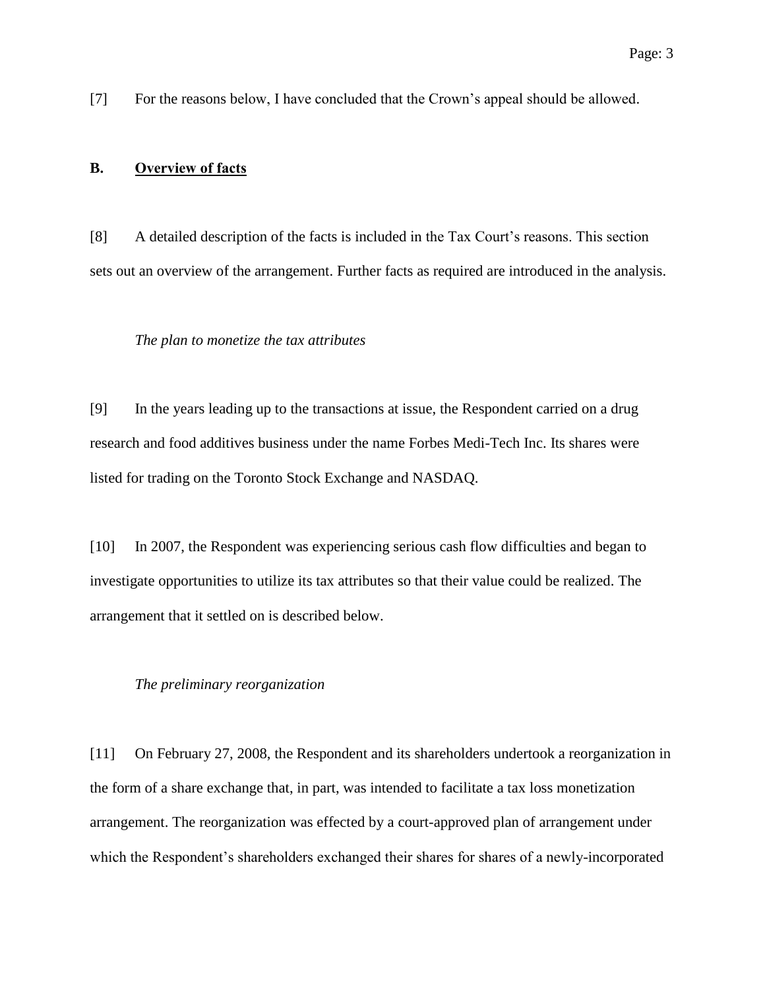[7] For the reasons below, I have concluded that the Crown's appeal should be allowed.

# **B. Overview of facts**

[8] A detailed description of the facts is included in the Tax Court's reasons. This section sets out an overview of the arrangement. Further facts as required are introduced in the analysis.

#### *The plan to monetize the tax attributes*

[9] In the years leading up to the transactions at issue, the Respondent carried on a drug research and food additives business under the name Forbes Medi-Tech Inc. Its shares were listed for trading on the Toronto Stock Exchange and NASDAQ.

[10] In 2007, the Respondent was experiencing serious cash flow difficulties and began to investigate opportunities to utilize its tax attributes so that their value could be realized. The arrangement that it settled on is described below.

#### *The preliminary reorganization*

[11] On February 27, 2008, the Respondent and its shareholders undertook a reorganization in the form of a share exchange that, in part, was intended to facilitate a tax loss monetization arrangement. The reorganization was effected by a court-approved plan of arrangement under which the Respondent's shareholders exchanged their shares for shares of a newly-incorporated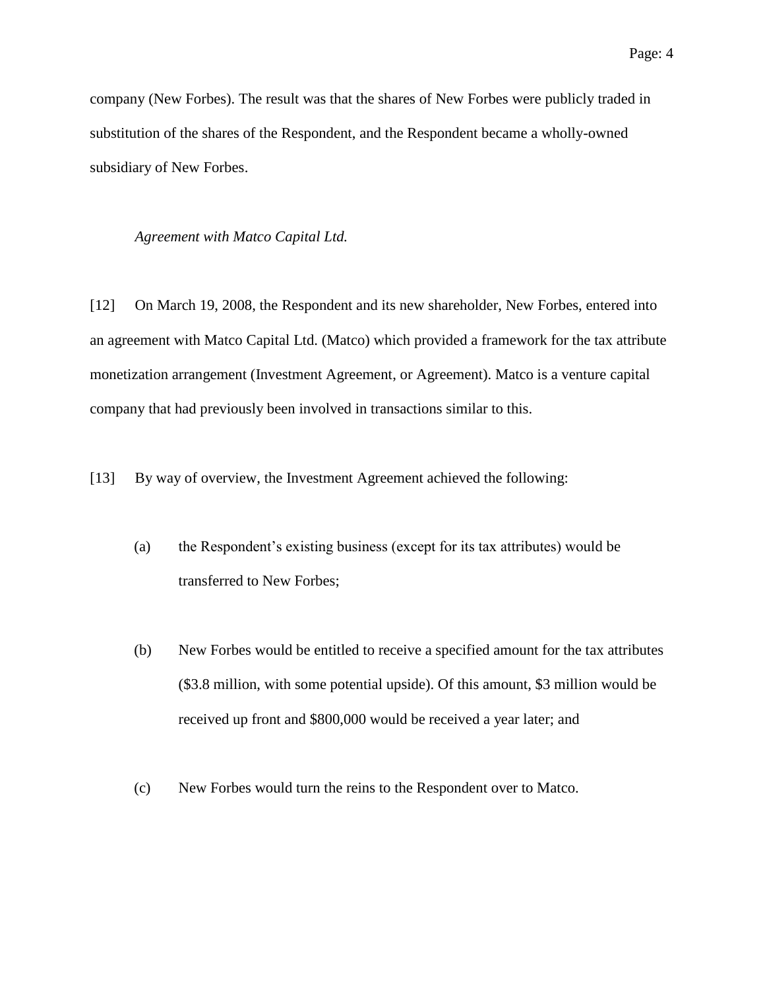company (New Forbes). The result was that the shares of New Forbes were publicly traded in substitution of the shares of the Respondent, and the Respondent became a wholly-owned subsidiary of New Forbes.

#### *Agreement with Matco Capital Ltd.*

[12] On March 19, 2008, the Respondent and its new shareholder, New Forbes, entered into an agreement with Matco Capital Ltd. (Matco) which provided a framework for the tax attribute monetization arrangement (Investment Agreement, or Agreement). Matco is a venture capital company that had previously been involved in transactions similar to this.

[13] By way of overview, the Investment Agreement achieved the following:

- (a) the Respondent's existing business (except for its tax attributes) would be transferred to New Forbes;
- (b) New Forbes would be entitled to receive a specified amount for the tax attributes (\$3.8 million, with some potential upside). Of this amount, \$3 million would be received up front and \$800,000 would be received a year later; and
- (c) New Forbes would turn the reins to the Respondent over to Matco.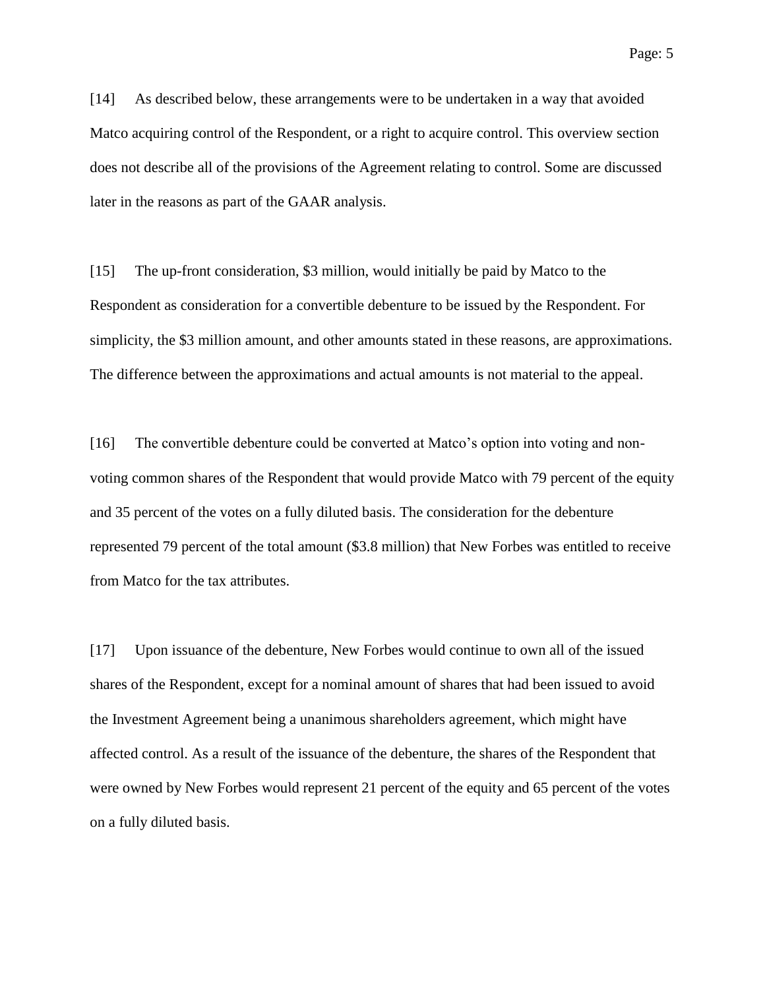[14] As described below, these arrangements were to be undertaken in a way that avoided Matco acquiring control of the Respondent, or a right to acquire control. This overview section does not describe all of the provisions of the Agreement relating to control. Some are discussed later in the reasons as part of the GAAR analysis.

[15] The up-front consideration, \$3 million, would initially be paid by Matco to the Respondent as consideration for a convertible debenture to be issued by the Respondent. For simplicity, the \$3 million amount, and other amounts stated in these reasons, are approximations. The difference between the approximations and actual amounts is not material to the appeal.

[16] The convertible debenture could be converted at Matco's option into voting and nonvoting common shares of the Respondent that would provide Matco with 79 percent of the equity and 35 percent of the votes on a fully diluted basis. The consideration for the debenture represented 79 percent of the total amount (\$3.8 million) that New Forbes was entitled to receive from Matco for the tax attributes.

[17] Upon issuance of the debenture, New Forbes would continue to own all of the issued shares of the Respondent, except for a nominal amount of shares that had been issued to avoid the Investment Agreement being a unanimous shareholders agreement, which might have affected control. As a result of the issuance of the debenture, the shares of the Respondent that were owned by New Forbes would represent 21 percent of the equity and 65 percent of the votes on a fully diluted basis.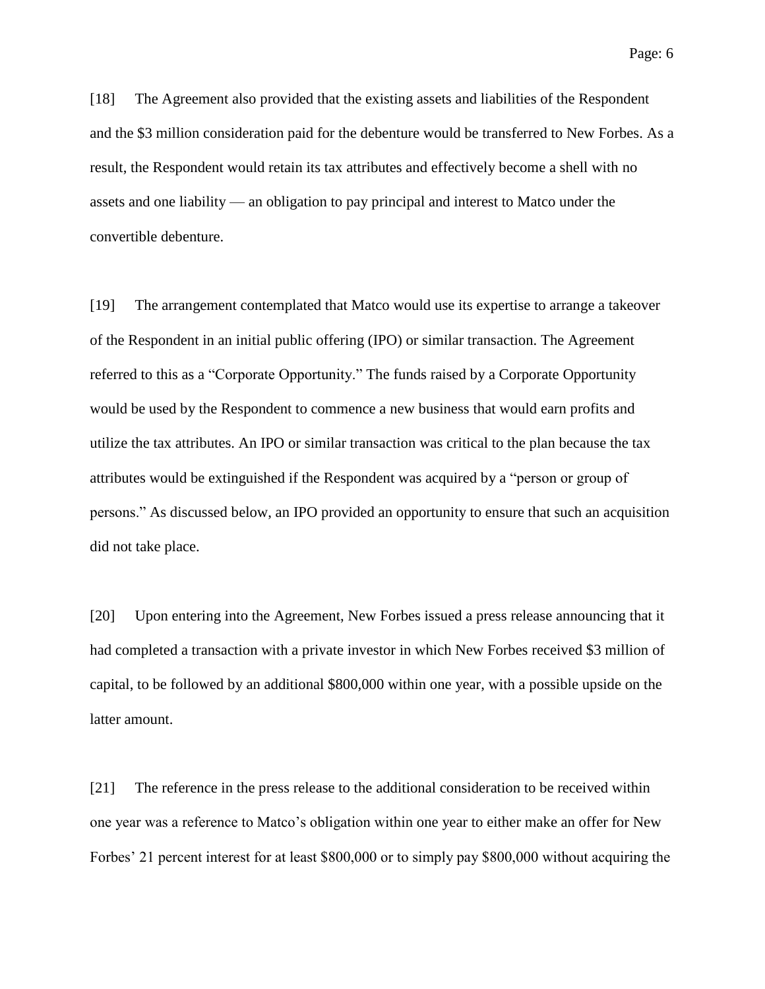[18] The Agreement also provided that the existing assets and liabilities of the Respondent and the \$3 million consideration paid for the debenture would be transferred to New Forbes. As a result, the Respondent would retain its tax attributes and effectively become a shell with no assets and one liability — an obligation to pay principal and interest to Matco under the convertible debenture.

[19] The arrangement contemplated that Matco would use its expertise to arrange a takeover of the Respondent in an initial public offering (IPO) or similar transaction. The Agreement referred to this as a "Corporate Opportunity." The funds raised by a Corporate Opportunity would be used by the Respondent to commence a new business that would earn profits and utilize the tax attributes. An IPO or similar transaction was critical to the plan because the tax attributes would be extinguished if the Respondent was acquired by a "person or group of persons." As discussed below, an IPO provided an opportunity to ensure that such an acquisition did not take place.

[20] Upon entering into the Agreement, New Forbes issued a press release announcing that it had completed a transaction with a private investor in which New Forbes received \$3 million of capital, to be followed by an additional \$800,000 within one year, with a possible upside on the latter amount.

[21] The reference in the press release to the additional consideration to be received within one year was a reference to Matco's obligation within one year to either make an offer for New Forbes' 21 percent interest for at least \$800,000 or to simply pay \$800,000 without acquiring the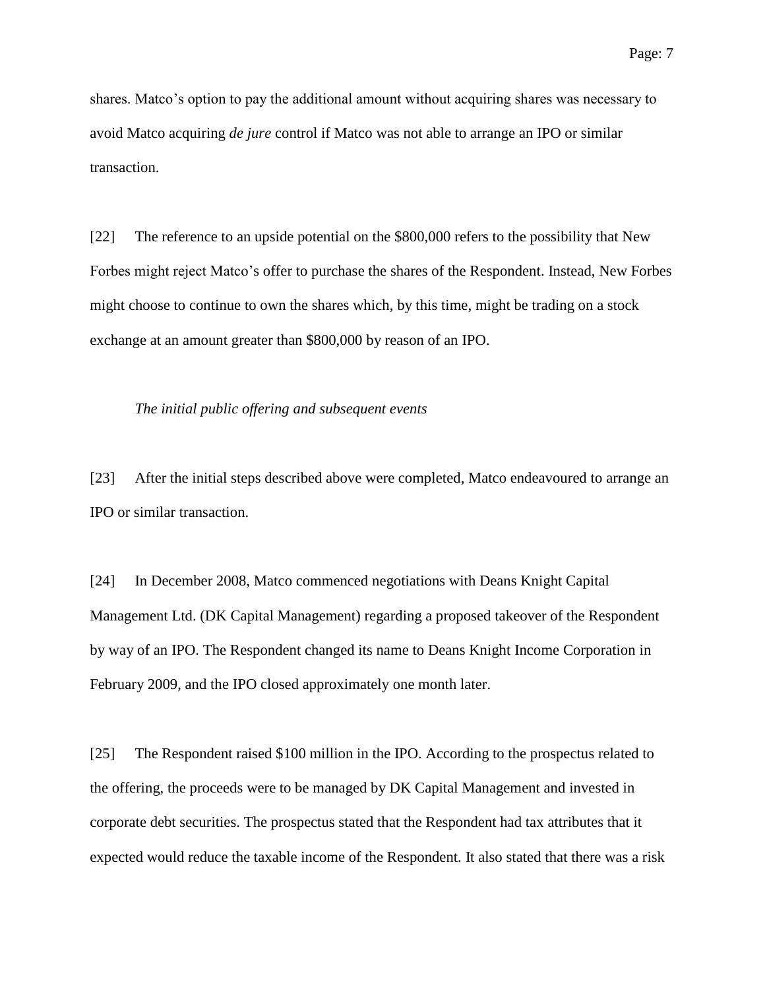shares. Matco's option to pay the additional amount without acquiring shares was necessary to avoid Matco acquiring *de jure* control if Matco was not able to arrange an IPO or similar transaction.

[22] The reference to an upside potential on the \$800,000 refers to the possibility that New Forbes might reject Matco's offer to purchase the shares of the Respondent. Instead, New Forbes might choose to continue to own the shares which, by this time, might be trading on a stock exchange at an amount greater than \$800,000 by reason of an IPO.

#### *The initial public offering and subsequent events*

[23] After the initial steps described above were completed, Matco endeavoured to arrange an IPO or similar transaction.

[24] In December 2008, Matco commenced negotiations with Deans Knight Capital Management Ltd. (DK Capital Management) regarding a proposed takeover of the Respondent by way of an IPO. The Respondent changed its name to Deans Knight Income Corporation in February 2009, and the IPO closed approximately one month later.

[25] The Respondent raised \$100 million in the IPO. According to the prospectus related to the offering, the proceeds were to be managed by DK Capital Management and invested in corporate debt securities. The prospectus stated that the Respondent had tax attributes that it expected would reduce the taxable income of the Respondent. It also stated that there was a risk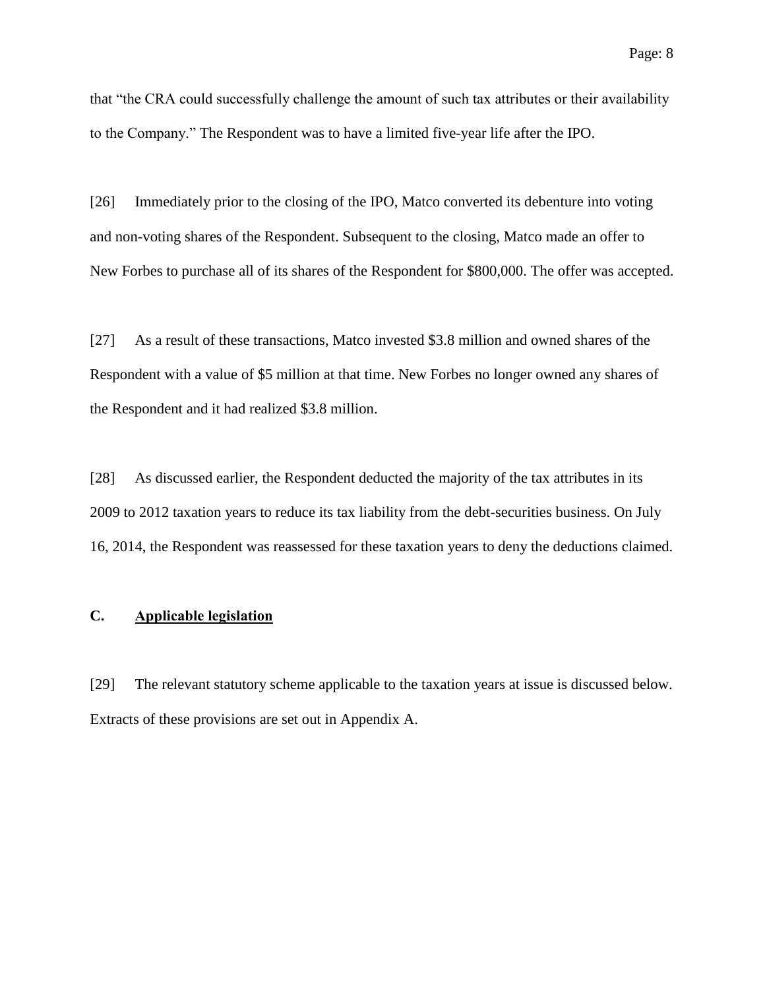that "the CRA could successfully challenge the amount of such tax attributes or their availability to the Company." The Respondent was to have a limited five-year life after the IPO.

[26] Immediately prior to the closing of the IPO, Matco converted its debenture into voting and non-voting shares of the Respondent. Subsequent to the closing, Matco made an offer to New Forbes to purchase all of its shares of the Respondent for \$800,000. The offer was accepted.

[27] As a result of these transactions, Matco invested \$3.8 million and owned shares of the Respondent with a value of \$5 million at that time. New Forbes no longer owned any shares of the Respondent and it had realized \$3.8 million.

[28] As discussed earlier, the Respondent deducted the majority of the tax attributes in its 2009 to 2012 taxation years to reduce its tax liability from the debt-securities business. On July 16, 2014, the Respondent was reassessed for these taxation years to deny the deductions claimed.

## **C. Applicable legislation**

[29] The relevant statutory scheme applicable to the taxation years at issue is discussed below. Extracts of these provisions are set out in Appendix A.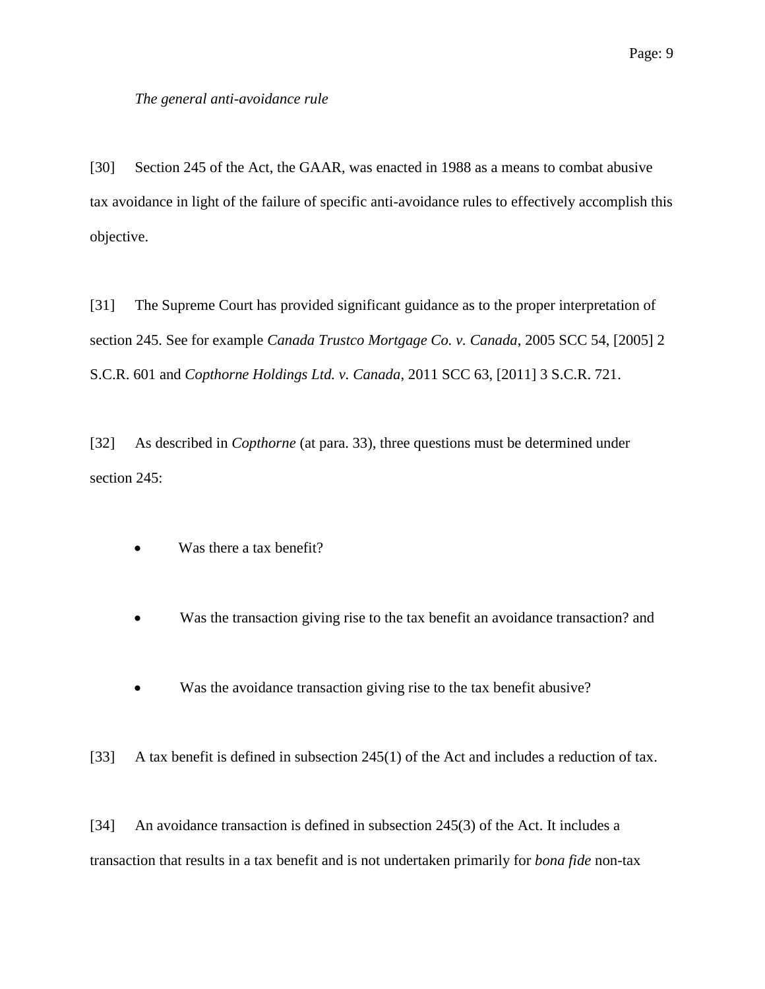## *The general anti-avoidance rule*

[30] Section 245 of the Act, the GAAR, was enacted in 1988 as a means to combat abusive tax avoidance in light of the failure of specific anti-avoidance rules to effectively accomplish this objective.

[31] The Supreme Court has provided significant guidance as to the proper interpretation of section 245. See for example *Canada Trustco Mortgage Co. v. Canada*, 2005 SCC 54, [2005] 2 S.C.R. 601 and *Copthorne Holdings Ltd. v. Canada*, 2011 SCC 63, [2011] 3 S.C.R. 721.

[32] As described in *Copthorne* (at para. 33), three questions must be determined under section 245:

- Was there a tax benefit?
- Was the transaction giving rise to the tax benefit an avoidance transaction? and
- Was the avoidance transaction giving rise to the tax benefit abusive?

[33] A tax benefit is defined in subsection 245(1) of the Act and includes a reduction of tax.

[34] An avoidance transaction is defined in subsection 245(3) of the Act. It includes a transaction that results in a tax benefit and is not undertaken primarily for *bona fide* non-tax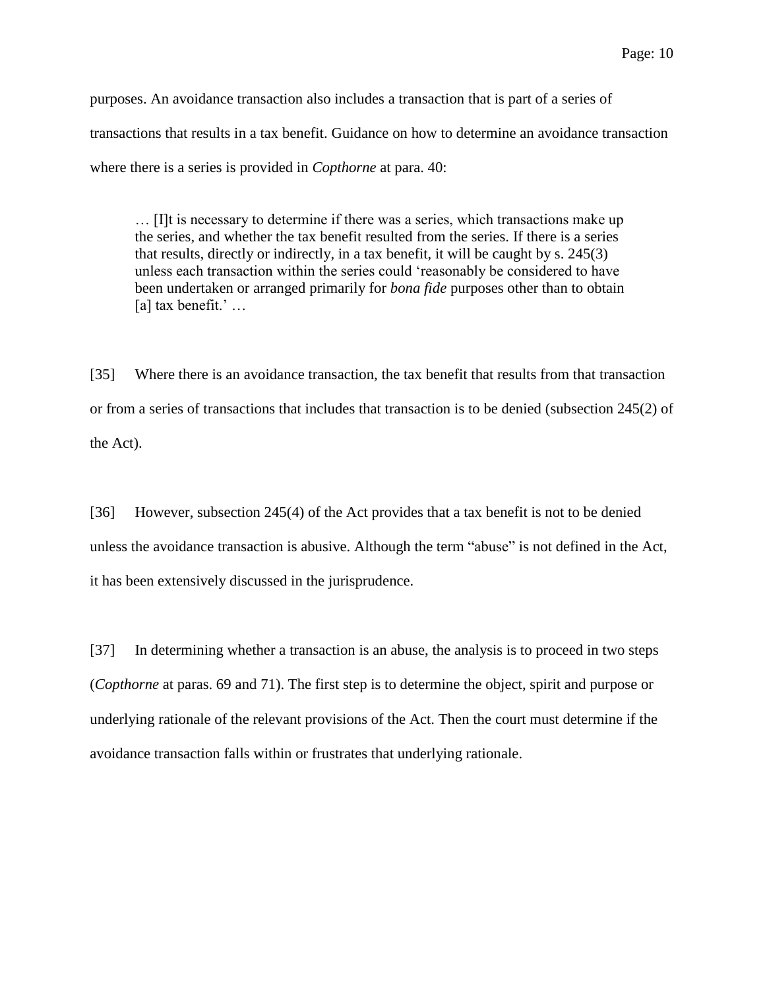purposes. An avoidance transaction also includes a transaction that is part of a series of transactions that results in a tax benefit. Guidance on how to determine an avoidance transaction where there is a series is provided in *Copthorne* at para. 40:

… [I]t is necessary to determine if there was a series, which transactions make up the series, and whether the tax benefit resulted from the series. If there is a series that results, directly or indirectly, in a tax benefit, it will be caught by s. 245(3) unless each transaction within the series could 'reasonably be considered to have been undertaken or arranged primarily for *bona fide* purposes other than to obtain [a] tax benefit.' …

[35] Where there is an avoidance transaction, the tax benefit that results from that transaction or from a series of transactions that includes that transaction is to be denied (subsection 245(2) of the Act).

[36] However, subsection 245(4) of the Act provides that a tax benefit is not to be denied unless the avoidance transaction is abusive. Although the term "abuse" is not defined in the Act, it has been extensively discussed in the jurisprudence.

[37] In determining whether a transaction is an abuse, the analysis is to proceed in two steps (*Copthorne* at paras. 69 and 71). The first step is to determine the object, spirit and purpose or underlying rationale of the relevant provisions of the Act. Then the court must determine if the avoidance transaction falls within or frustrates that underlying rationale.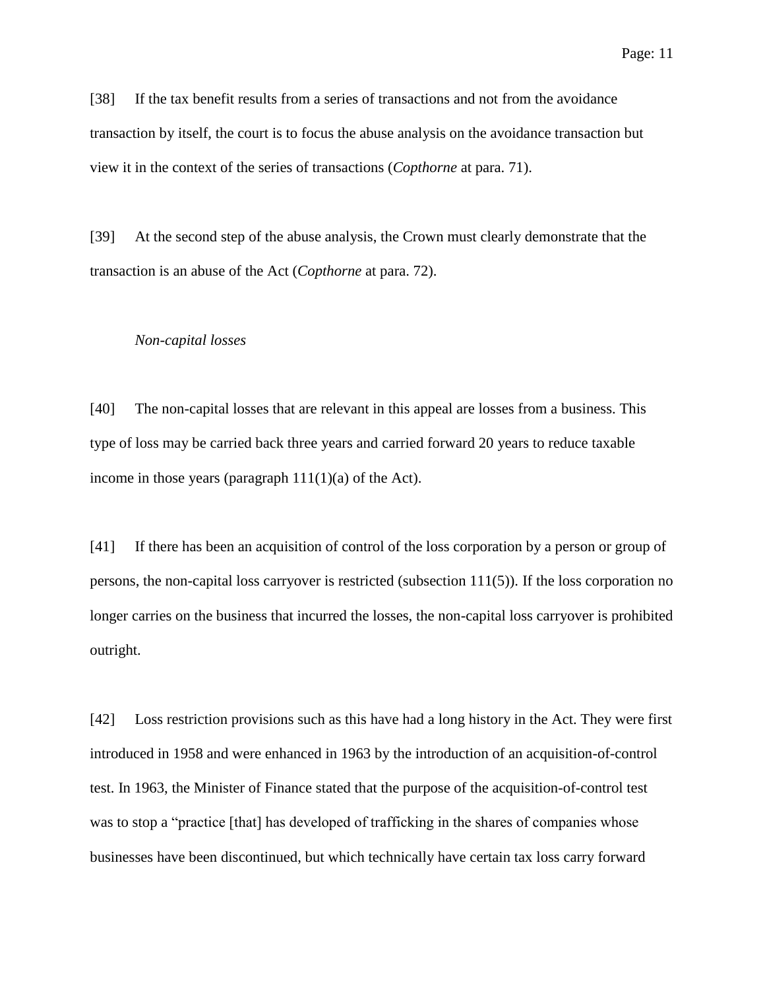[38] If the tax benefit results from a series of transactions and not from the avoidance transaction by itself, the court is to focus the abuse analysis on the avoidance transaction but view it in the context of the series of transactions (*Copthorne* at para. 71).

[39] At the second step of the abuse analysis, the Crown must clearly demonstrate that the transaction is an abuse of the Act (*Copthorne* at para. 72).

#### *Non-capital losses*

[40] The non-capital losses that are relevant in this appeal are losses from a business. This type of loss may be carried back three years and carried forward 20 years to reduce taxable income in those years (paragraph  $111(1)(a)$  of the Act).

[41] If there has been an acquisition of control of the loss corporation by a person or group of persons, the non-capital loss carryover is restricted (subsection 111(5)). If the loss corporation no longer carries on the business that incurred the losses, the non-capital loss carryover is prohibited outright.

[42] Loss restriction provisions such as this have had a long history in the Act. They were first introduced in 1958 and were enhanced in 1963 by the introduction of an acquisition-of-control test. In 1963, the Minister of Finance stated that the purpose of the acquisition-of-control test was to stop a "practice [that] has developed of trafficking in the shares of companies whose businesses have been discontinued, but which technically have certain tax loss carry forward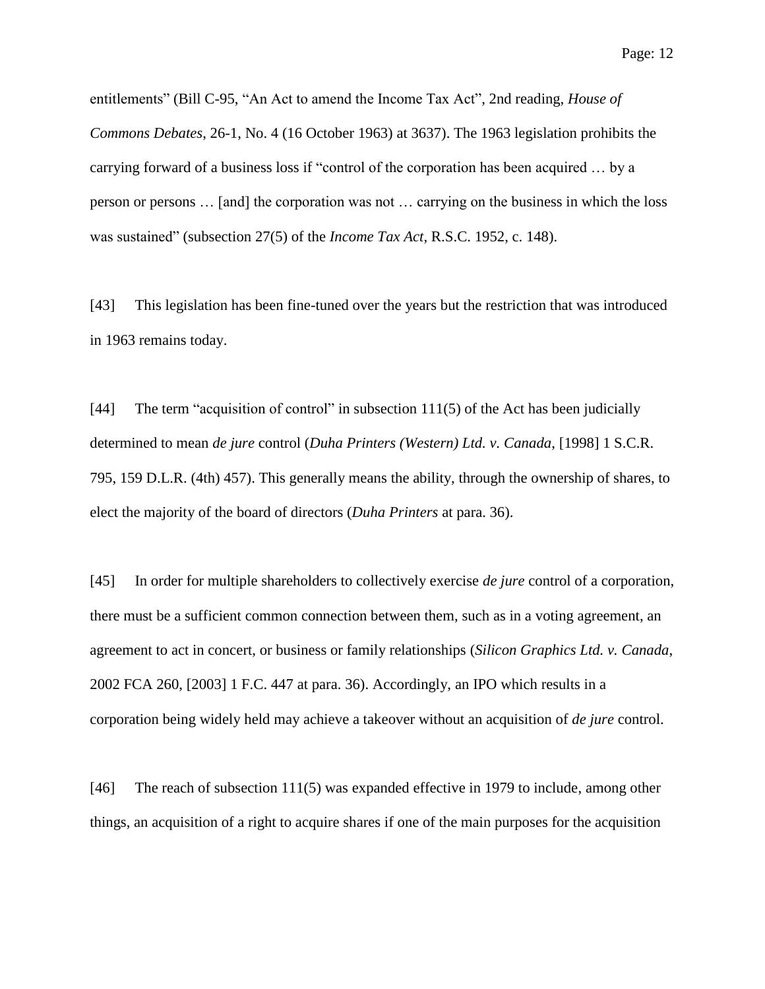Page: 12

entitlements" (Bill C-95, "An Act to amend the Income Tax Act", 2nd reading, *House of Commons Debates*, 26-1, No. 4 (16 October 1963) at 3637). The 1963 legislation prohibits the carrying forward of a business loss if "control of the corporation has been acquired … by a person or persons … [and] the corporation was not … carrying on the business in which the loss was sustained" (subsection 27(5) of the *Income Tax Act*, R.S.C. 1952, c. 148).

[43] This legislation has been fine-tuned over the years but the restriction that was introduced in 1963 remains today.

[44] The term "acquisition of control" in subsection 111(5) of the Act has been judicially determined to mean *de jure* control (*Duha Printers (Western) Ltd. v. Canada*, [1998] 1 S.C.R. 795, 159 D.L.R. (4th) 457). This generally means the ability, through the ownership of shares, to elect the majority of the board of directors (*Duha Printers* at para. 36).

[45] In order for multiple shareholders to collectively exercise *de jure* control of a corporation, there must be a sufficient common connection between them, such as in a voting agreement, an agreement to act in concert, or business or family relationships (*Silicon Graphics Ltd. v. Canada*, 2002 FCA 260, [2003] 1 F.C. 447 at para. 36). Accordingly, an IPO which results in a corporation being widely held may achieve a takeover without an acquisition of *de jure* control.

[46] The reach of subsection 111(5) was expanded effective in 1979 to include, among other things, an acquisition of a right to acquire shares if one of the main purposes for the acquisition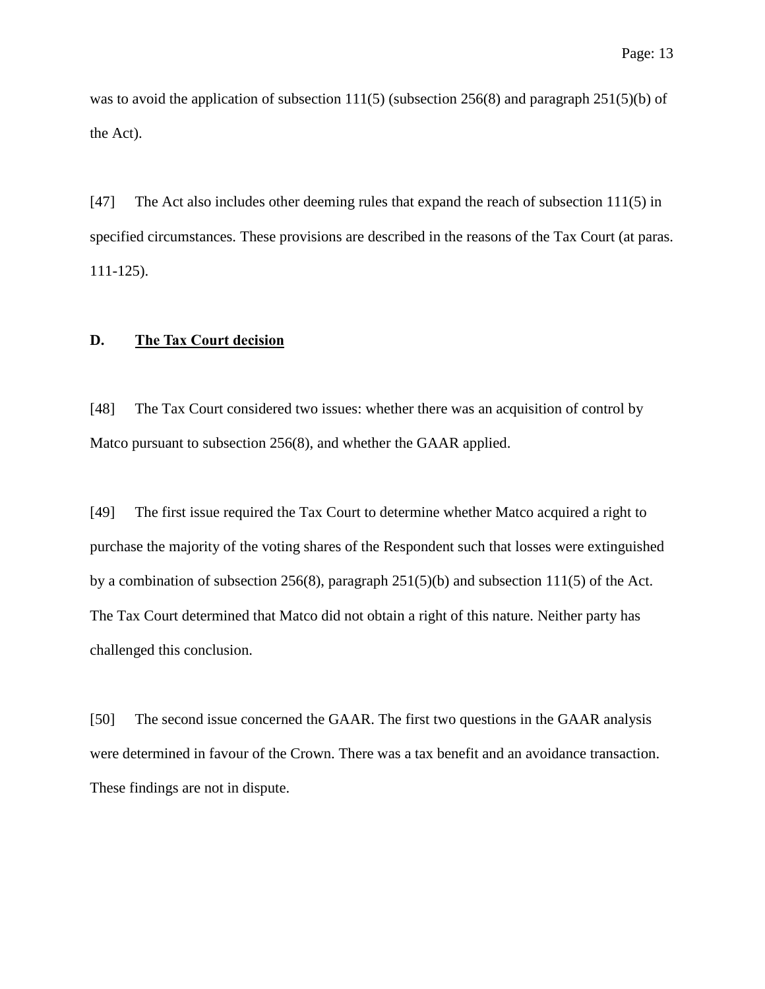was to avoid the application of subsection 111(5) (subsection 256(8) and paragraph 251(5)(b) of the Act).

[47] The Act also includes other deeming rules that expand the reach of subsection 111(5) in specified circumstances. These provisions are described in the reasons of the Tax Court (at paras. 111-125).

## **D. The Tax Court decision**

[48] The Tax Court considered two issues: whether there was an acquisition of control by Matco pursuant to subsection 256(8), and whether the GAAR applied.

[49] The first issue required the Tax Court to determine whether Matco acquired a right to purchase the majority of the voting shares of the Respondent such that losses were extinguished by a combination of subsection 256(8), paragraph 251(5)(b) and subsection 111(5) of the Act. The Tax Court determined that Matco did not obtain a right of this nature. Neither party has challenged this conclusion.

[50] The second issue concerned the GAAR. The first two questions in the GAAR analysis were determined in favour of the Crown. There was a tax benefit and an avoidance transaction. These findings are not in dispute.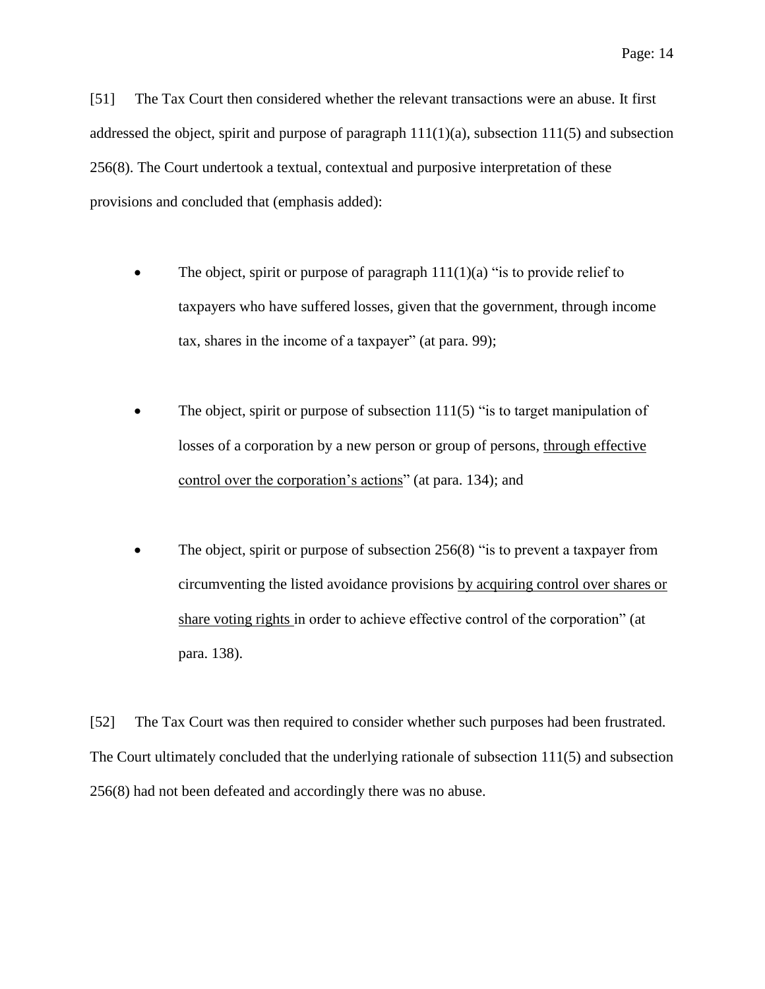[51] The Tax Court then considered whether the relevant transactions were an abuse. It first addressed the object, spirit and purpose of paragraph  $111(1)(a)$ , subsection  $111(5)$  and subsection 256(8). The Court undertook a textual, contextual and purposive interpretation of these provisions and concluded that (emphasis added):

- The object, spirit or purpose of paragraph  $111(1)(a)$  "is to provide relief to taxpayers who have suffered losses, given that the government, through income tax, shares in the income of a taxpayer" (at para. 99);
- The object, spirit or purpose of subsection 111(5) "is to target manipulation of losses of a corporation by a new person or group of persons, through effective control over the corporation's actions" (at para. 134); and
- The object, spirit or purpose of subsection 256(8) "is to prevent a taxpayer from circumventing the listed avoidance provisions by acquiring control over shares or share voting rights in order to achieve effective control of the corporation" (at para. 138).

[52] The Tax Court was then required to consider whether such purposes had been frustrated. The Court ultimately concluded that the underlying rationale of subsection 111(5) and subsection 256(8) had not been defeated and accordingly there was no abuse.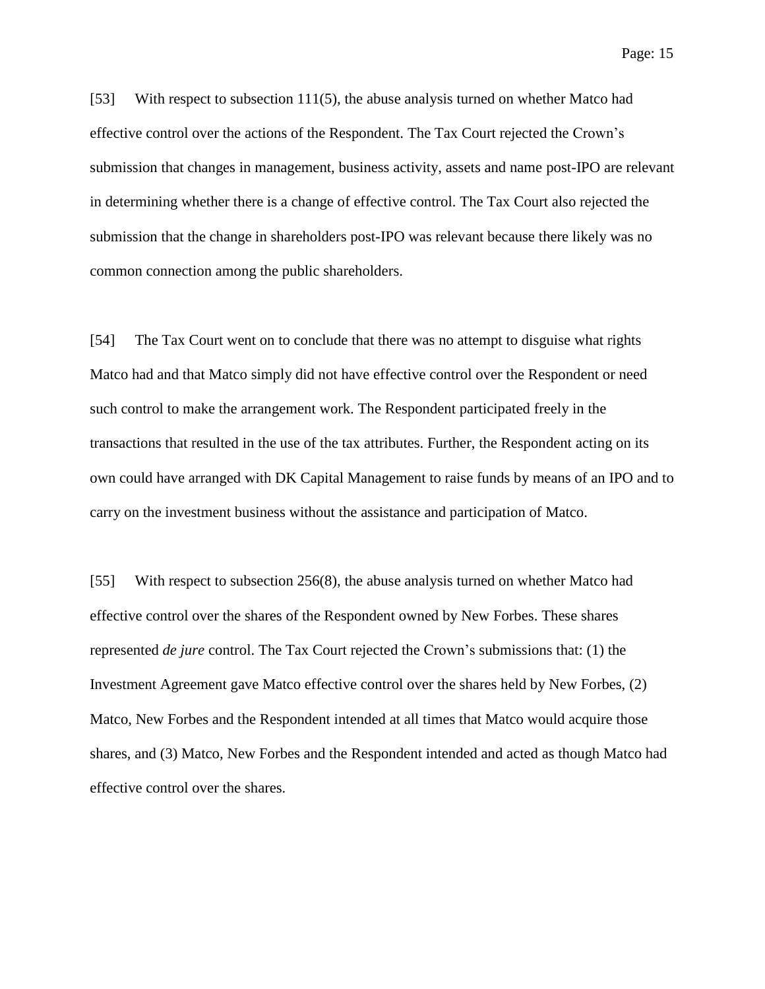[53] With respect to subsection 111(5), the abuse analysis turned on whether Matco had effective control over the actions of the Respondent. The Tax Court rejected the Crown's submission that changes in management, business activity, assets and name post-IPO are relevant in determining whether there is a change of effective control. The Tax Court also rejected the submission that the change in shareholders post-IPO was relevant because there likely was no common connection among the public shareholders.

[54] The Tax Court went on to conclude that there was no attempt to disguise what rights Matco had and that Matco simply did not have effective control over the Respondent or need such control to make the arrangement work. The Respondent participated freely in the transactions that resulted in the use of the tax attributes. Further, the Respondent acting on its own could have arranged with DK Capital Management to raise funds by means of an IPO and to carry on the investment business without the assistance and participation of Matco.

[55] With respect to subsection 256(8), the abuse analysis turned on whether Matco had effective control over the shares of the Respondent owned by New Forbes. These shares represented *de jure* control. The Tax Court rejected the Crown's submissions that: (1) the Investment Agreement gave Matco effective control over the shares held by New Forbes, (2) Matco, New Forbes and the Respondent intended at all times that Matco would acquire those shares, and (3) Matco, New Forbes and the Respondent intended and acted as though Matco had effective control over the shares.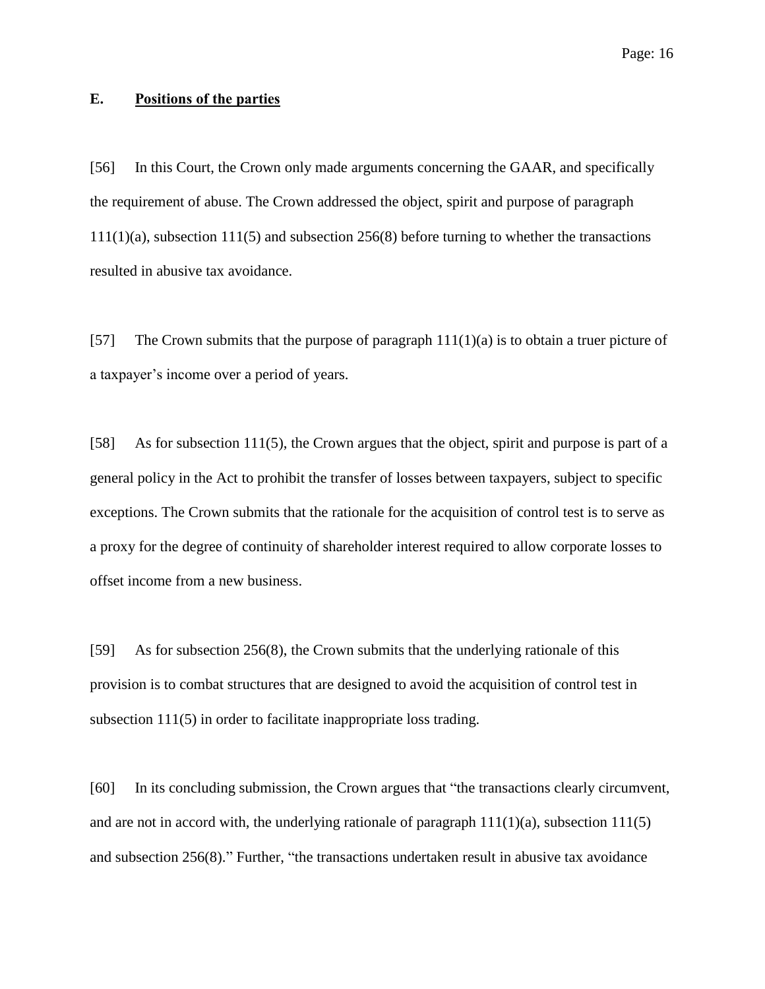## **E. Positions of the parties**

[56] In this Court, the Crown only made arguments concerning the GAAR, and specifically the requirement of abuse. The Crown addressed the object, spirit and purpose of paragraph 111(1)(a), subsection 111(5) and subsection 256(8) before turning to whether the transactions resulted in abusive tax avoidance.

[57] The Crown submits that the purpose of paragraph  $111(1)(a)$  is to obtain a truer picture of a taxpayer's income over a period of years.

[58] As for subsection 111(5), the Crown argues that the object, spirit and purpose is part of a general policy in the Act to prohibit the transfer of losses between taxpayers, subject to specific exceptions. The Crown submits that the rationale for the acquisition of control test is to serve as a proxy for the degree of continuity of shareholder interest required to allow corporate losses to offset income from a new business.

[59] As for subsection 256(8), the Crown submits that the underlying rationale of this provision is to combat structures that are designed to avoid the acquisition of control test in subsection 111(5) in order to facilitate inappropriate loss trading.

[60] In its concluding submission, the Crown argues that "the transactions clearly circumvent, and are not in accord with, the underlying rationale of paragraph  $111(1)(a)$ , subsection  $111(5)$ and subsection 256(8)." Further, "the transactions undertaken result in abusive tax avoidance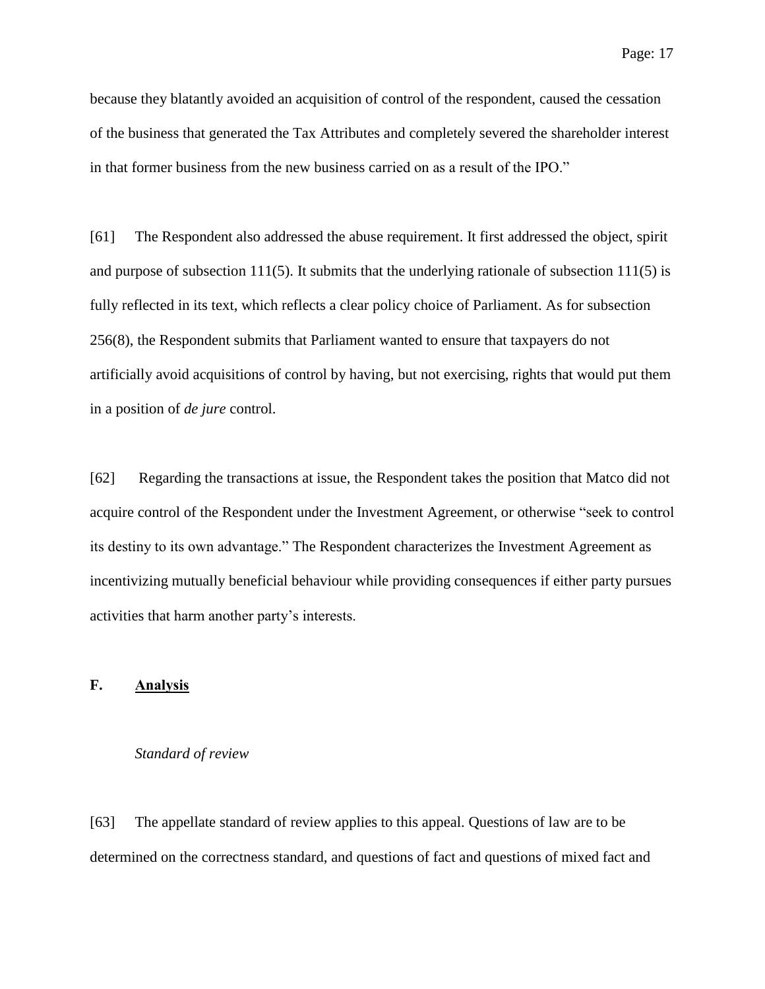because they blatantly avoided an acquisition of control of the respondent, caused the cessation of the business that generated the Tax Attributes and completely severed the shareholder interest in that former business from the new business carried on as a result of the IPO."

[61] The Respondent also addressed the abuse requirement. It first addressed the object, spirit and purpose of subsection 111(5). It submits that the underlying rationale of subsection 111(5) is fully reflected in its text, which reflects a clear policy choice of Parliament. As for subsection 256(8), the Respondent submits that Parliament wanted to ensure that taxpayers do not artificially avoid acquisitions of control by having, but not exercising, rights that would put them in a position of *de jure* control.

[62] Regarding the transactions at issue, the Respondent takes the position that Matco did not acquire control of the Respondent under the Investment Agreement, or otherwise "seek to control its destiny to its own advantage." The Respondent characterizes the Investment Agreement as incentivizing mutually beneficial behaviour while providing consequences if either party pursues activities that harm another party's interests.

## **F. Analysis**

## *Standard of review*

[63] The appellate standard of review applies to this appeal. Questions of law are to be determined on the correctness standard, and questions of fact and questions of mixed fact and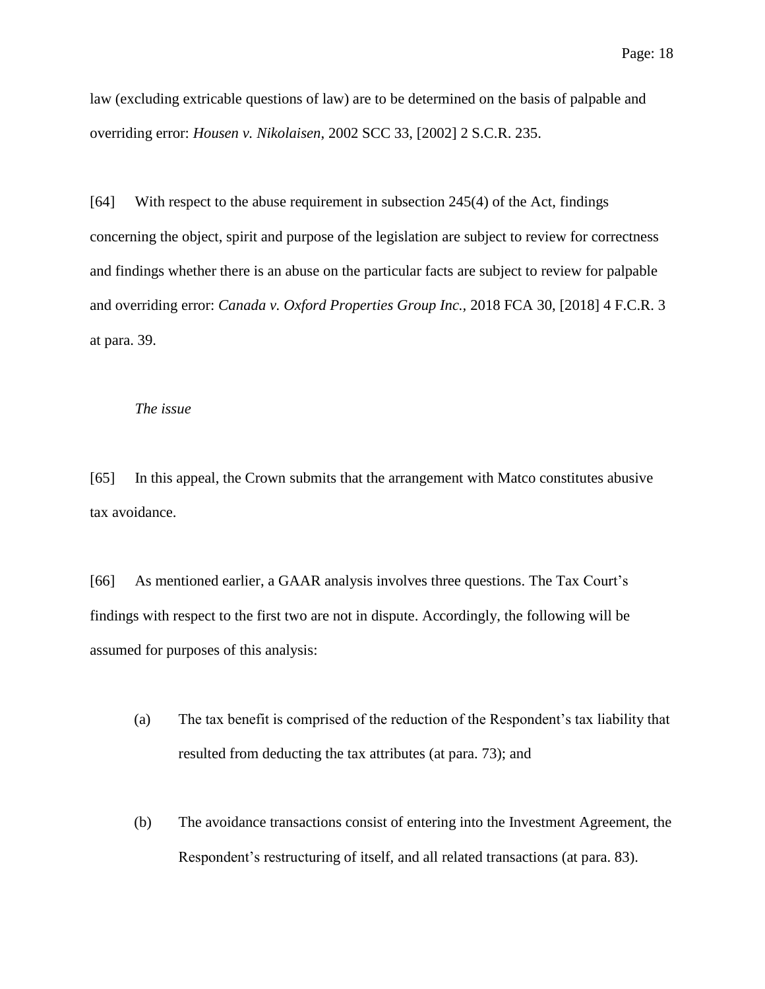law (excluding extricable questions of law) are to be determined on the basis of palpable and overriding error: *Housen v. Nikolaisen*, 2002 SCC 33, [2002] 2 S.C.R. 235.

[64] With respect to the abuse requirement in subsection 245(4) of the Act, findings concerning the object, spirit and purpose of the legislation are subject to review for correctness and findings whether there is an abuse on the particular facts are subject to review for palpable and overriding error: *Canada v. Oxford Properties Group Inc.,* 2018 FCA 30, [2018] 4 F.C.R. 3 at para. 39.

## *The issue*

[65] In this appeal, the Crown submits that the arrangement with Matco constitutes abusive tax avoidance.

[66] As mentioned earlier, a GAAR analysis involves three questions. The Tax Court's findings with respect to the first two are not in dispute. Accordingly, the following will be assumed for purposes of this analysis:

- (a) The tax benefit is comprised of the reduction of the Respondent's tax liability that resulted from deducting the tax attributes (at para. 73); and
- (b) The avoidance transactions consist of entering into the Investment Agreement, the Respondent's restructuring of itself, and all related transactions (at para. 83).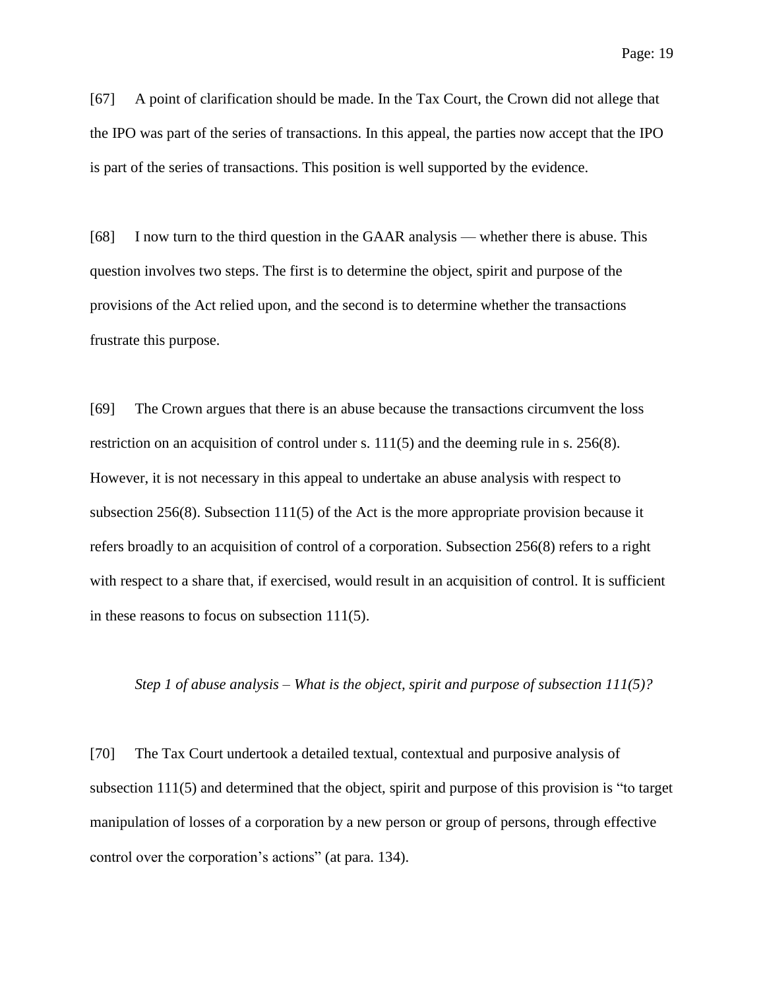[67] A point of clarification should be made. In the Tax Court, the Crown did not allege that the IPO was part of the series of transactions. In this appeal, the parties now accept that the IPO is part of the series of transactions. This position is well supported by the evidence.

[68] I now turn to the third question in the GAAR analysis — whether there is abuse. This question involves two steps. The first is to determine the object, spirit and purpose of the provisions of the Act relied upon, and the second is to determine whether the transactions frustrate this purpose.

[69] The Crown argues that there is an abuse because the transactions circumvent the loss restriction on an acquisition of control under s. 111(5) and the deeming rule in s. 256(8). However, it is not necessary in this appeal to undertake an abuse analysis with respect to subsection 256(8). Subsection 111(5) of the Act is the more appropriate provision because it refers broadly to an acquisition of control of a corporation. Subsection 256(8) refers to a right with respect to a share that, if exercised, would result in an acquisition of control. It is sufficient in these reasons to focus on subsection 111(5).

#### *Step 1 of abuse analysis – What is the object, spirit and purpose of subsection 111(5)?*

[70] The Tax Court undertook a detailed textual, contextual and purposive analysis of subsection 111(5) and determined that the object, spirit and purpose of this provision is "to target manipulation of losses of a corporation by a new person or group of persons, through effective control over the corporation's actions" (at para. 134).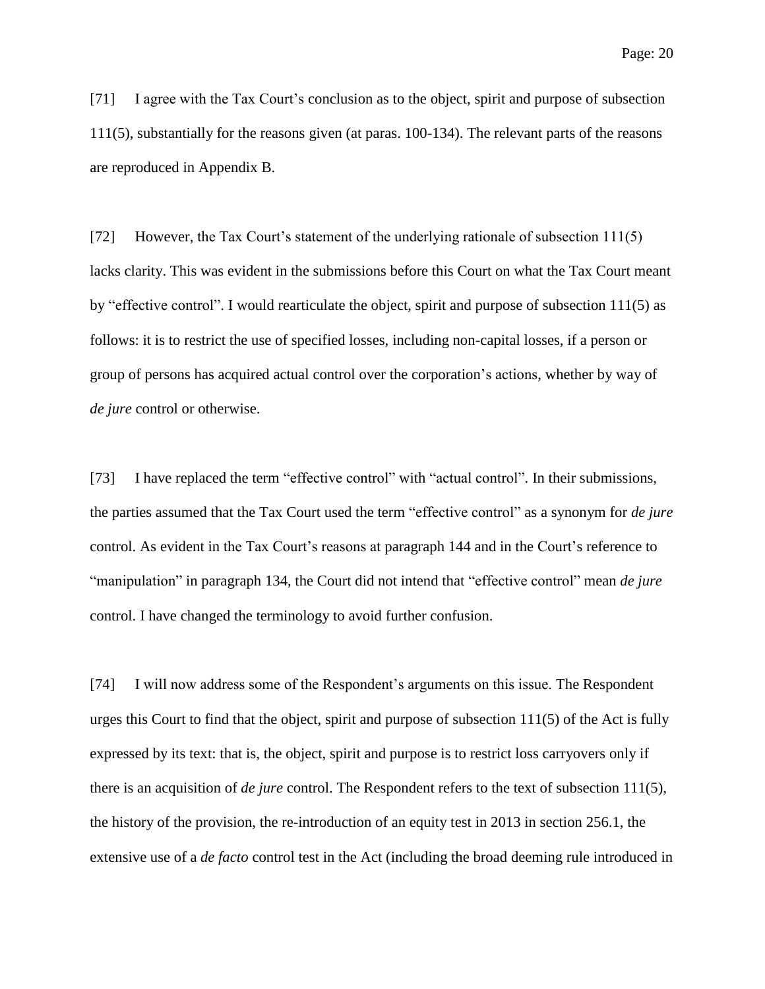[71] I agree with the Tax Court's conclusion as to the object, spirit and purpose of subsection 111(5), substantially for the reasons given (at paras. 100-134). The relevant parts of the reasons are reproduced in Appendix B.

[72] However, the Tax Court's statement of the underlying rationale of subsection 111(5) lacks clarity. This was evident in the submissions before this Court on what the Tax Court meant by "effective control". I would rearticulate the object, spirit and purpose of subsection 111(5) as follows: it is to restrict the use of specified losses, including non-capital losses, if a person or group of persons has acquired actual control over the corporation's actions, whether by way of *de jure* control or otherwise.

[73] I have replaced the term "effective control" with "actual control". In their submissions, the parties assumed that the Tax Court used the term "effective control" as a synonym for *de jure* control. As evident in the Tax Court's reasons at paragraph 144 and in the Court's reference to "manipulation" in paragraph 134, the Court did not intend that "effective control" mean *de jure* control. I have changed the terminology to avoid further confusion.

[74] I will now address some of the Respondent's arguments on this issue. The Respondent urges this Court to find that the object, spirit and purpose of subsection 111(5) of the Act is fully expressed by its text: that is, the object, spirit and purpose is to restrict loss carryovers only if there is an acquisition of *de jure* control. The Respondent refers to the text of subsection 111(5), the history of the provision, the re-introduction of an equity test in 2013 in section 256.1, the extensive use of a *de facto* control test in the Act (including the broad deeming rule introduced in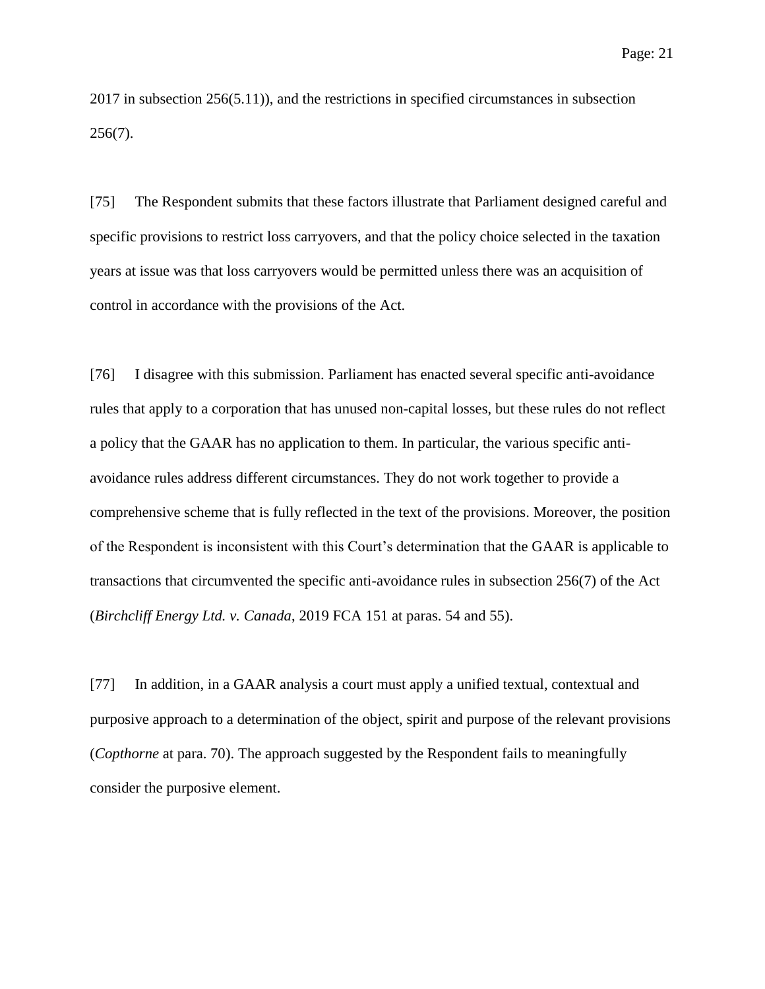2017 in subsection 256(5.11)), and the restrictions in specified circumstances in subsection 256(7).

[75] The Respondent submits that these factors illustrate that Parliament designed careful and specific provisions to restrict loss carryovers, and that the policy choice selected in the taxation years at issue was that loss carryovers would be permitted unless there was an acquisition of control in accordance with the provisions of the Act.

[76] I disagree with this submission. Parliament has enacted several specific anti-avoidance rules that apply to a corporation that has unused non-capital losses, but these rules do not reflect a policy that the GAAR has no application to them. In particular, the various specific antiavoidance rules address different circumstances. They do not work together to provide a comprehensive scheme that is fully reflected in the text of the provisions. Moreover, the position of the Respondent is inconsistent with this Court's determination that the GAAR is applicable to transactions that circumvented the specific anti-avoidance rules in subsection 256(7) of the Act (*Birchcliff Energy Ltd. v. Canada*, 2019 FCA 151 at paras. 54 and 55).

[77] In addition, in a GAAR analysis a court must apply a unified textual, contextual and purposive approach to a determination of the object, spirit and purpose of the relevant provisions (*Copthorne* at para. 70). The approach suggested by the Respondent fails to meaningfully consider the purposive element.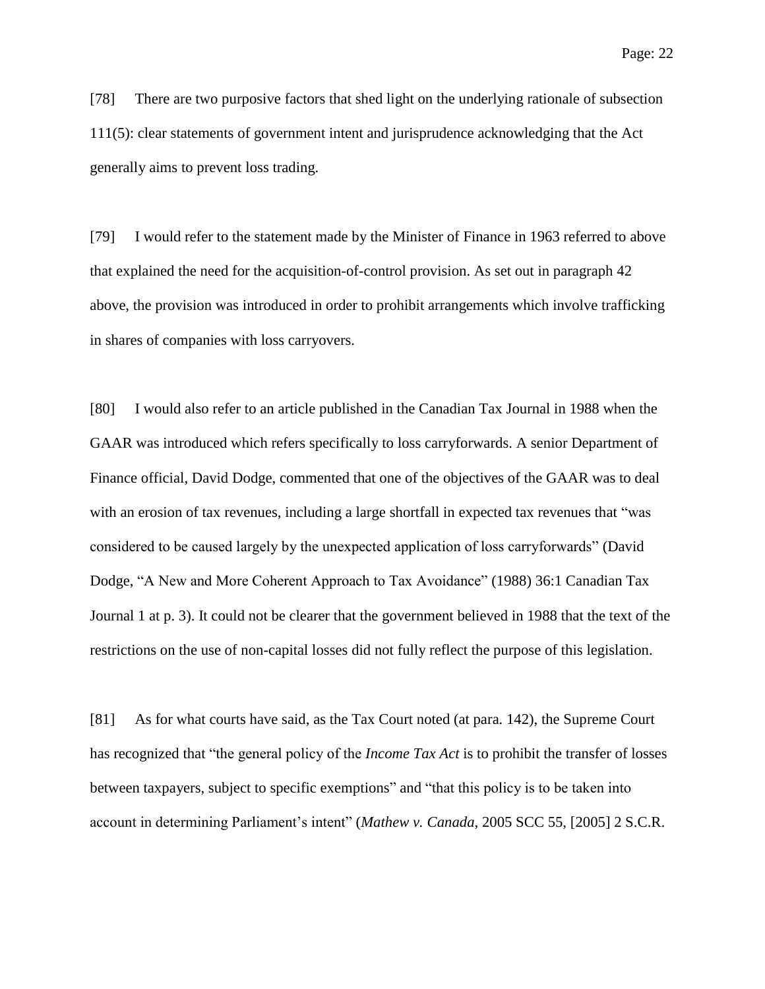[78] There are two purposive factors that shed light on the underlying rationale of subsection 111(5): clear statements of government intent and jurisprudence acknowledging that the Act generally aims to prevent loss trading.

[79] I would refer to the statement made by the Minister of Finance in 1963 referred to above that explained the need for the acquisition-of-control provision. As set out in paragraph 42 above, the provision was introduced in order to prohibit arrangements which involve trafficking in shares of companies with loss carryovers.

[80] I would also refer to an article published in the Canadian Tax Journal in 1988 when the GAAR was introduced which refers specifically to loss carryforwards. A senior Department of Finance official, David Dodge, commented that one of the objectives of the GAAR was to deal with an erosion of tax revenues, including a large shortfall in expected tax revenues that "was considered to be caused largely by the unexpected application of loss carryforwards" (David Dodge, "A New and More Coherent Approach to Tax Avoidance" (1988) 36:1 Canadian Tax Journal 1 at p. 3). It could not be clearer that the government believed in 1988 that the text of the restrictions on the use of non-capital losses did not fully reflect the purpose of this legislation.

[81] As for what courts have said, as the Tax Court noted (at para. 142), the Supreme Court has recognized that "the general policy of the *Income Tax Act* is to prohibit the transfer of losses between taxpayers, subject to specific exemptions" and "that this policy is to be taken into account in determining Parliament's intent" (*Mathew v. Canada*, 2005 SCC 55, [2005] 2 S.C.R.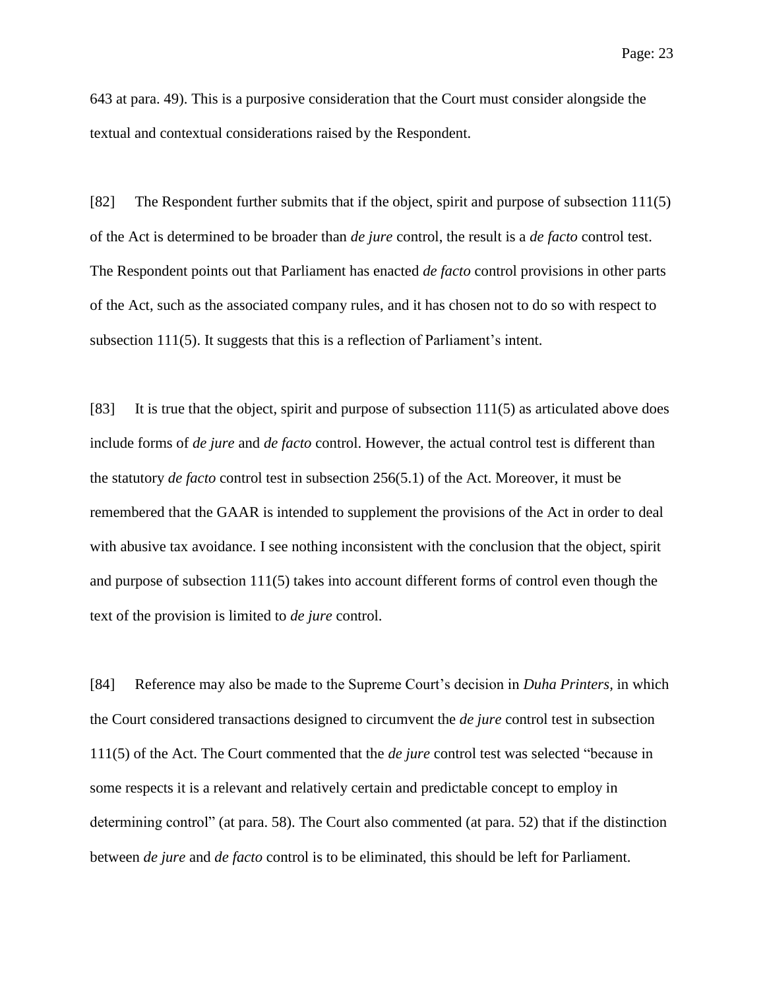643 at para. 49). This is a purposive consideration that the Court must consider alongside the textual and contextual considerations raised by the Respondent.

[82] The Respondent further submits that if the object, spirit and purpose of subsection 111(5) of the Act is determined to be broader than *de jure* control, the result is a *de facto* control test. The Respondent points out that Parliament has enacted *de facto* control provisions in other parts of the Act, such as the associated company rules, and it has chosen not to do so with respect to subsection 111(5). It suggests that this is a reflection of Parliament's intent.

[83] It is true that the object, spirit and purpose of subsection 111(5) as articulated above does include forms of *de jure* and *de facto* control. However, the actual control test is different than the statutory *de facto* control test in subsection 256(5.1) of the Act. Moreover, it must be remembered that the GAAR is intended to supplement the provisions of the Act in order to deal with abusive tax avoidance. I see nothing inconsistent with the conclusion that the object, spirit and purpose of subsection  $111(5)$  takes into account different forms of control even though the text of the provision is limited to *de jure* control.

[84] Reference may also be made to the Supreme Court's decision in *Duha Printers,* in which the Court considered transactions designed to circumvent the *de jure* control test in subsection 111(5) of the Act. The Court commented that the *de jure* control test was selected "because in some respects it is a relevant and relatively certain and predictable concept to employ in determining control" (at para. 58). The Court also commented (at para. 52) that if the distinction between *de jure* and *de facto* control is to be eliminated, this should be left for Parliament.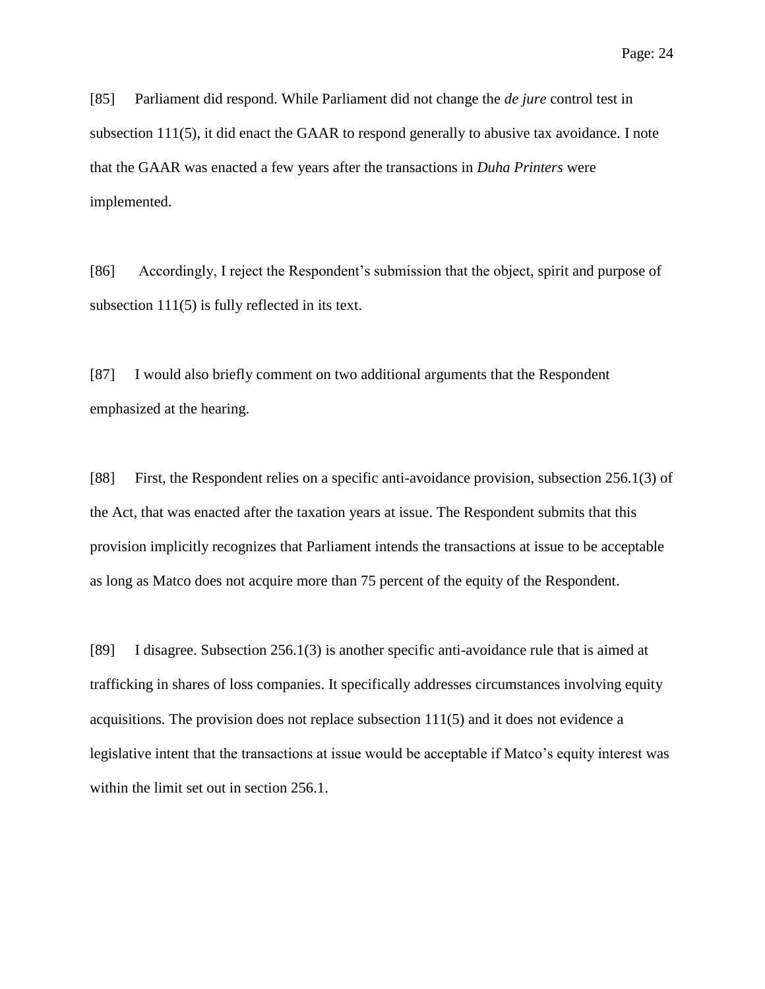[85] Parliament did respond. While Parliament did not change the *de jure* control test in subsection 111(5), it did enact the GAAR to respond generally to abusive tax avoidance. I note that the GAAR was enacted a few years after the transactions in *Duha Printers* were implemented.

[86] Accordingly, I reject the Respondent's submission that the object, spirit and purpose of subsection 111(5) is fully reflected in its text.

[87] I would also briefly comment on two additional arguments that the Respondent emphasized at the hearing.

[88] First, the Respondent relies on a specific anti-avoidance provision, subsection 256.1(3) of the Act, that was enacted after the taxation years at issue. The Respondent submits that this provision implicitly recognizes that Parliament intends the transactions at issue to be acceptable as long as Matco does not acquire more than 75 percent of the equity of the Respondent.

[89] I disagree. Subsection 256.1(3) is another specific anti-avoidance rule that is aimed at trafficking in shares of loss companies. It specifically addresses circumstances involving equity acquisitions. The provision does not replace subsection  $111(5)$  and it does not evidence a legislative intent that the transactions at issue would be acceptable if Matco's equity interest was within the limit set out in section 256.1.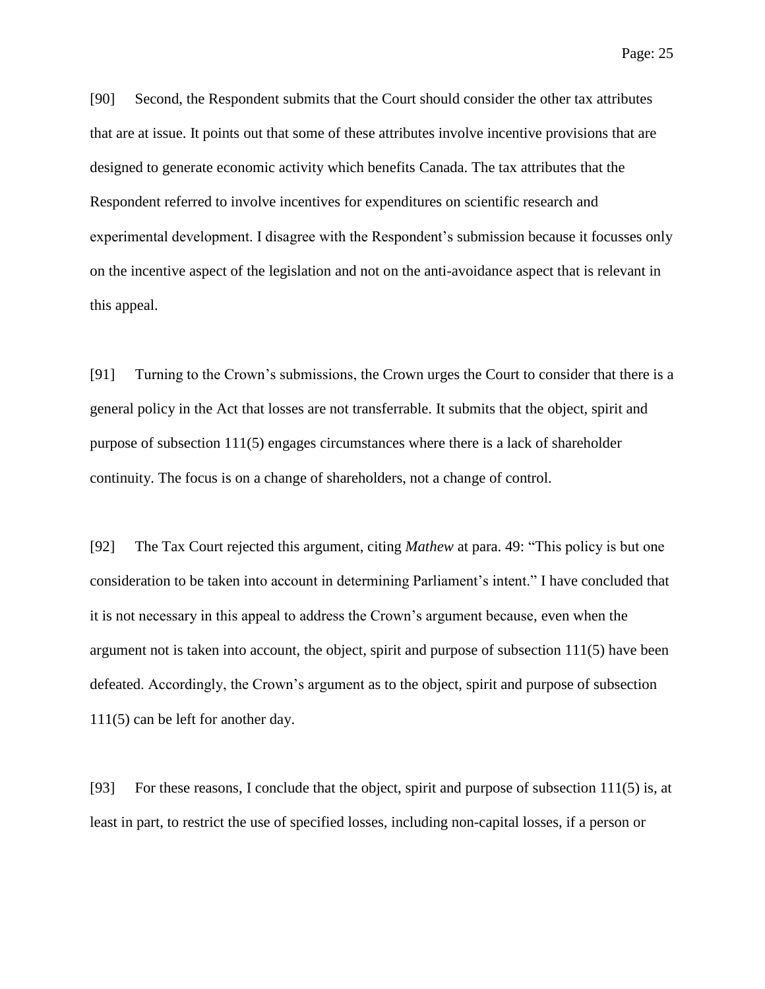Page: 25

[90] Second, the Respondent submits that the Court should consider the other tax attributes that are at issue. It points out that some of these attributes involve incentive provisions that are designed to generate economic activity which benefits Canada. The tax attributes that the Respondent referred to involve incentives for expenditures on scientific research and experimental development. I disagree with the Respondent's submission because it focusses only on the incentive aspect of the legislation and not on the anti-avoidance aspect that is relevant in this appeal.

[91] Turning to the Crown's submissions, the Crown urges the Court to consider that there is a general policy in the Act that losses are not transferrable. It submits that the object, spirit and purpose of subsection  $111(5)$  engages circumstances where there is a lack of shareholder continuity. The focus is on a change of shareholders, not a change of control.

[92] The Tax Court rejected this argument, citing *Mathew* at para. 49: "This policy is but one consideration to be taken into account in determining Parliament's intent." I have concluded that it is not necessary in this appeal to address the Crown's argument because, even when the argument not is taken into account, the object, spirit and purpose of subsection 111(5) have been defeated. Accordingly, the Crown's argument as to the object, spirit and purpose of subsection 111(5) can be left for another day.

[93] For these reasons, I conclude that the object, spirit and purpose of subsection 111(5) is, at least in part, to restrict the use of specified losses, including non-capital losses, if a person or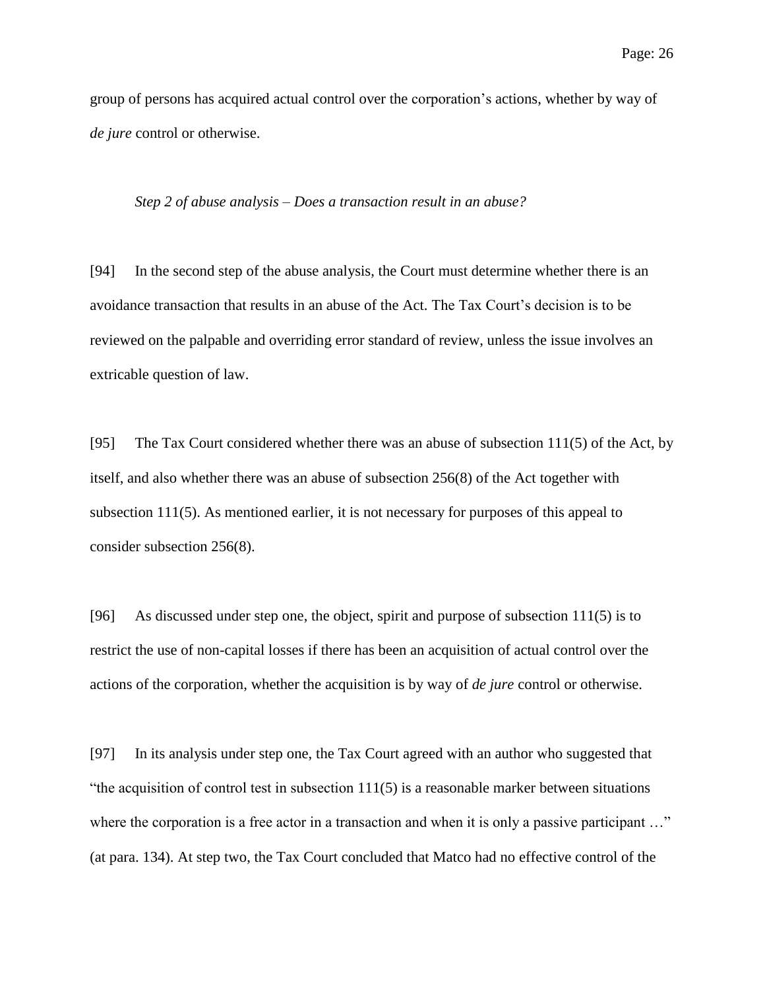group of persons has acquired actual control over the corporation's actions, whether by way of *de jure* control or otherwise.

#### *Step 2 of abuse analysis – Does a transaction result in an abuse?*

[94] In the second step of the abuse analysis, the Court must determine whether there is an avoidance transaction that results in an abuse of the Act. The Tax Court's decision is to be reviewed on the palpable and overriding error standard of review, unless the issue involves an extricable question of law.

[95] The Tax Court considered whether there was an abuse of subsection 111(5) of the Act, by itself, and also whether there was an abuse of subsection 256(8) of the Act together with subsection 111(5). As mentioned earlier, it is not necessary for purposes of this appeal to consider subsection 256(8).

[96] As discussed under step one, the object, spirit and purpose of subsection 111(5) is to restrict the use of non-capital losses if there has been an acquisition of actual control over the actions of the corporation, whether the acquisition is by way of *de jure* control or otherwise.

[97] In its analysis under step one, the Tax Court agreed with an author who suggested that "the acquisition of control test in subsection  $111(5)$  is a reasonable marker between situations where the corporation is a free actor in a transaction and when it is only a passive participant ..." (at para. 134). At step two, the Tax Court concluded that Matco had no effective control of the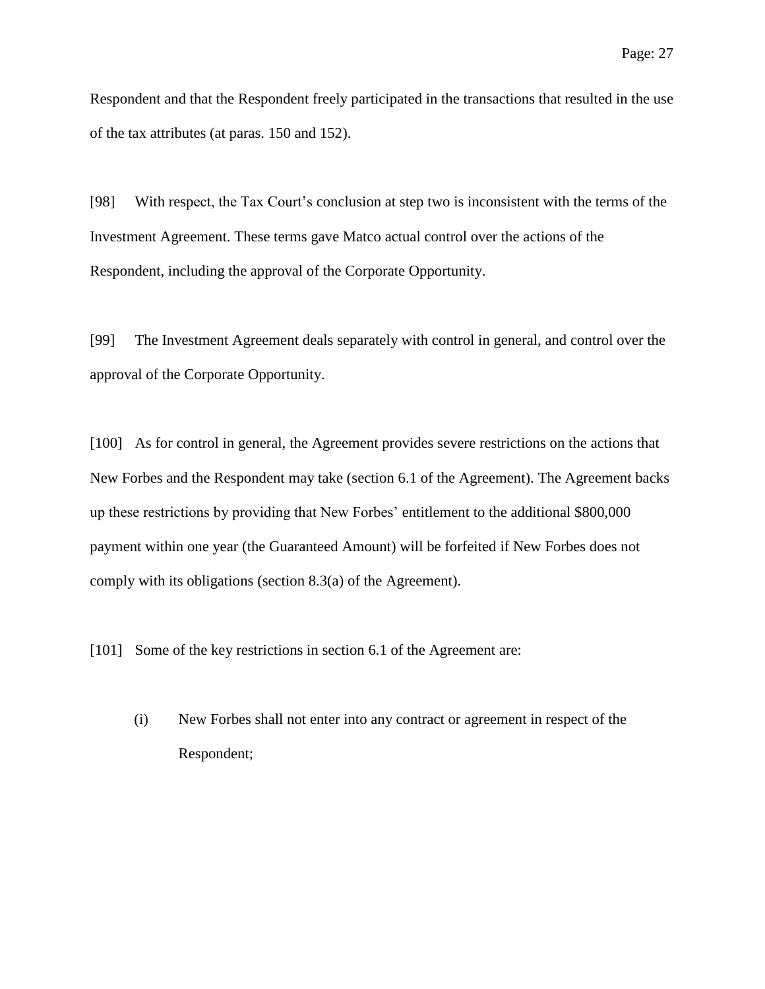Respondent and that the Respondent freely participated in the transactions that resulted in the use of the tax attributes (at paras. 150 and 152).

[98] With respect, the Tax Court's conclusion at step two is inconsistent with the terms of the Investment Agreement. These terms gave Matco actual control over the actions of the Respondent, including the approval of the Corporate Opportunity.

[99] The Investment Agreement deals separately with control in general, and control over the approval of the Corporate Opportunity.

[100] As for control in general, the Agreement provides severe restrictions on the actions that New Forbes and the Respondent may take (section 6.1 of the Agreement). The Agreement backs up these restrictions by providing that New Forbes' entitlement to the additional \$800,000 payment within one year (the Guaranteed Amount) will be forfeited if New Forbes does not comply with its obligations (section 8.3(a) of the Agreement).

[101] Some of the key restrictions in section 6.1 of the Agreement are:

(i) New Forbes shall not enter into any contract or agreement in respect of the Respondent;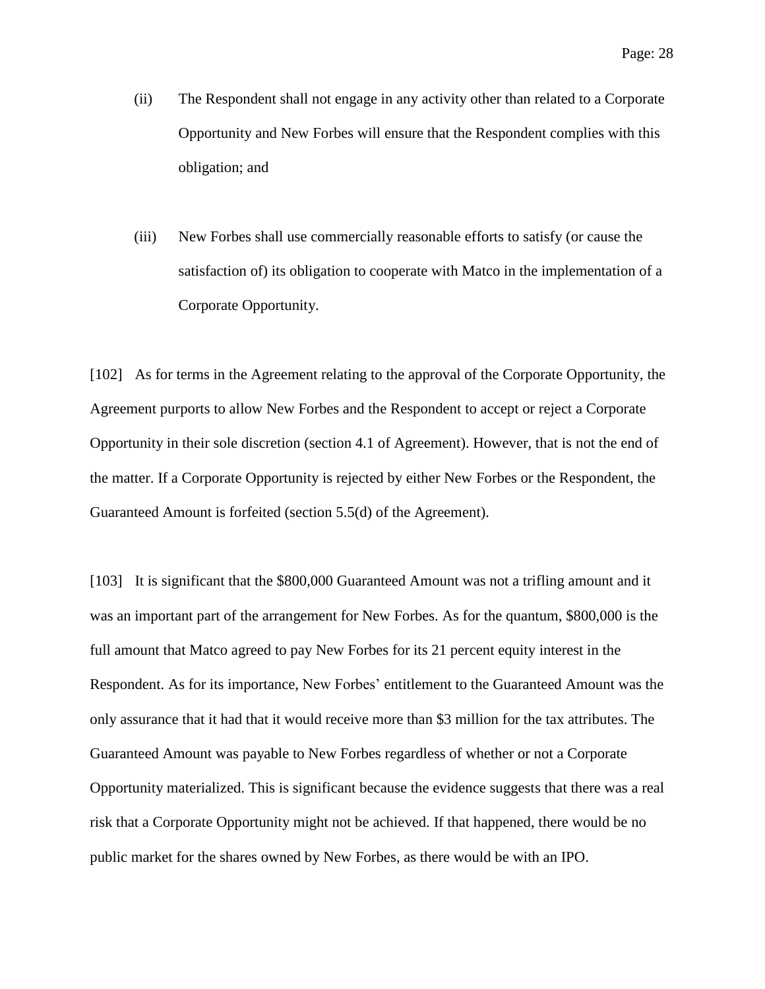- (ii) The Respondent shall not engage in any activity other than related to a Corporate Opportunity and New Forbes will ensure that the Respondent complies with this obligation; and
- (iii) New Forbes shall use commercially reasonable efforts to satisfy (or cause the satisfaction of) its obligation to cooperate with Matco in the implementation of a Corporate Opportunity.

[102] As for terms in the Agreement relating to the approval of the Corporate Opportunity, the Agreement purports to allow New Forbes and the Respondent to accept or reject a Corporate Opportunity in their sole discretion (section 4.1 of Agreement). However, that is not the end of the matter. If a Corporate Opportunity is rejected by either New Forbes or the Respondent, the Guaranteed Amount is forfeited (section 5.5(d) of the Agreement).

[103] It is significant that the \$800,000 Guaranteed Amount was not a trifling amount and it was an important part of the arrangement for New Forbes. As for the quantum, \$800,000 is the full amount that Matco agreed to pay New Forbes for its 21 percent equity interest in the Respondent. As for its importance, New Forbes' entitlement to the Guaranteed Amount was the only assurance that it had that it would receive more than \$3 million for the tax attributes. The Guaranteed Amount was payable to New Forbes regardless of whether or not a Corporate Opportunity materialized. This is significant because the evidence suggests that there was a real risk that a Corporate Opportunity might not be achieved. If that happened, there would be no public market for the shares owned by New Forbes, as there would be with an IPO.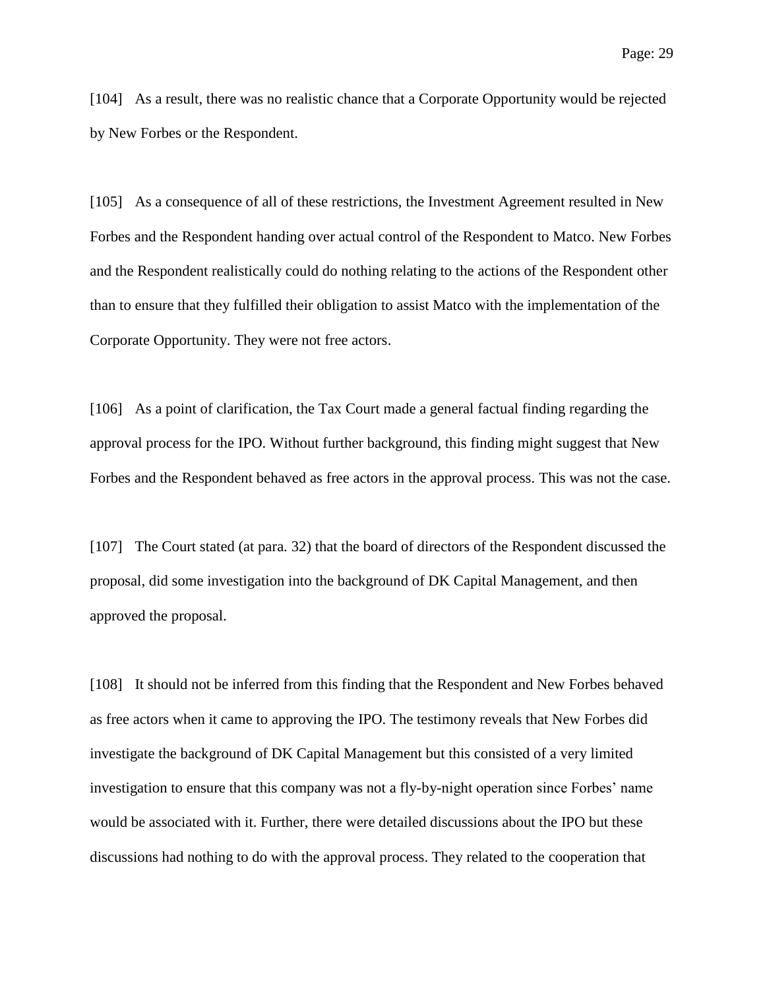[104] As a result, there was no realistic chance that a Corporate Opportunity would be rejected by New Forbes or the Respondent.

[105] As a consequence of all of these restrictions, the Investment Agreement resulted in New Forbes and the Respondent handing over actual control of the Respondent to Matco. New Forbes and the Respondent realistically could do nothing relating to the actions of the Respondent other than to ensure that they fulfilled their obligation to assist Matco with the implementation of the Corporate Opportunity. They were not free actors.

[106] As a point of clarification, the Tax Court made a general factual finding regarding the approval process for the IPO. Without further background, this finding might suggest that New Forbes and the Respondent behaved as free actors in the approval process. This was not the case.

[107] The Court stated (at para. 32) that the board of directors of the Respondent discussed the proposal, did some investigation into the background of DK Capital Management, and then approved the proposal.

[108] It should not be inferred from this finding that the Respondent and New Forbes behaved as free actors when it came to approving the IPO. The testimony reveals that New Forbes did investigate the background of DK Capital Management but this consisted of a very limited investigation to ensure that this company was not a fly-by-night operation since Forbes' name would be associated with it. Further, there were detailed discussions about the IPO but these discussions had nothing to do with the approval process. They related to the cooperation that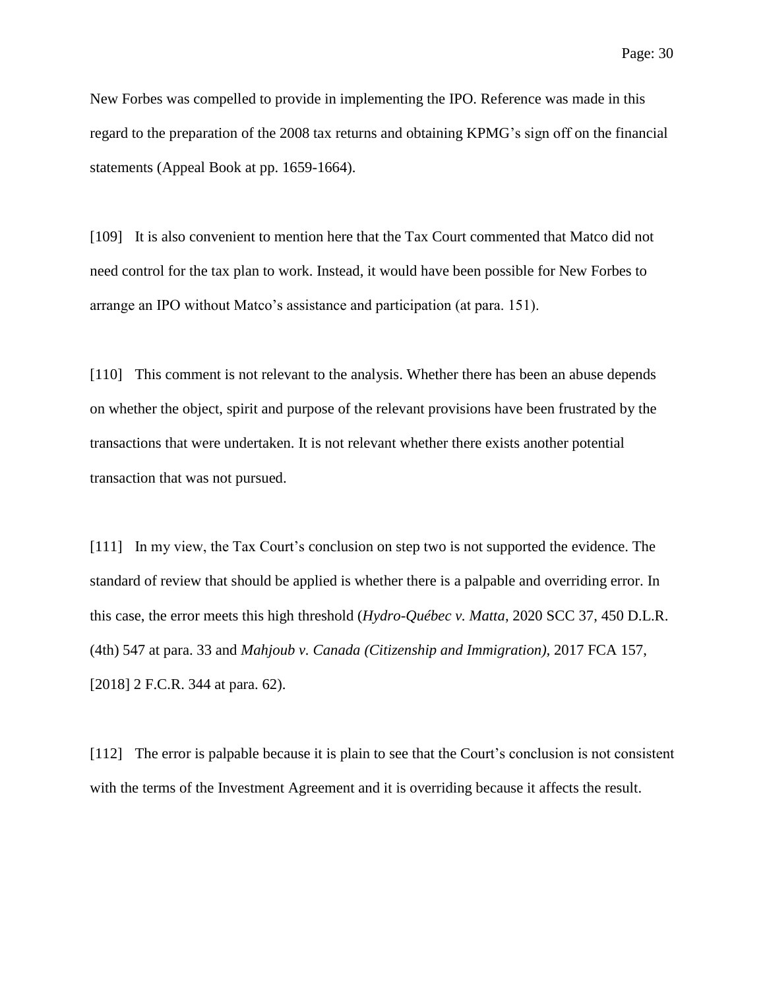New Forbes was compelled to provide in implementing the IPO. Reference was made in this regard to the preparation of the 2008 tax returns and obtaining KPMG's sign off on the financial statements (Appeal Book at pp. 1659-1664).

[109] It is also convenient to mention here that the Tax Court commented that Matco did not need control for the tax plan to work. Instead, it would have been possible for New Forbes to arrange an IPO without Matco's assistance and participation (at para. 151).

[110] This comment is not relevant to the analysis. Whether there has been an abuse depends on whether the object, spirit and purpose of the relevant provisions have been frustrated by the transactions that were undertaken. It is not relevant whether there exists another potential transaction that was not pursued.

[111] In my view, the Tax Court's conclusion on step two is not supported the evidence. The standard of review that should be applied is whether there is a palpable and overriding error. In this case, the error meets this high threshold (*Hydro-Québec v. Matta*, 2020 SCC 37, 450 D.L.R. (4th) 547 at para. 33 and *Mahjoub v. Canada (Citizenship and Immigration),* 2017 FCA 157, [2018] 2 F.C.R. 344 at para. 62).

[112] The error is palpable because it is plain to see that the Court's conclusion is not consistent with the terms of the Investment Agreement and it is overriding because it affects the result.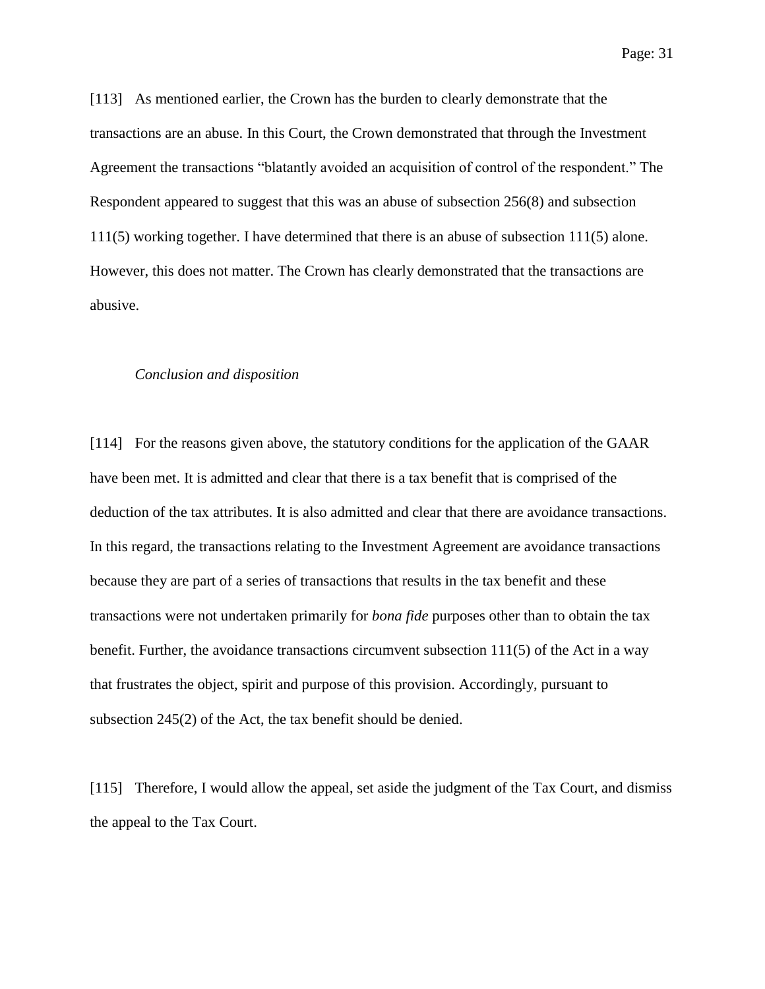[113] As mentioned earlier, the Crown has the burden to clearly demonstrate that the transactions are an abuse. In this Court, the Crown demonstrated that through the Investment Agreement the transactions "blatantly avoided an acquisition of control of the respondent." The Respondent appeared to suggest that this was an abuse of subsection 256(8) and subsection 111(5) working together. I have determined that there is an abuse of subsection 111(5) alone. However, this does not matter. The Crown has clearly demonstrated that the transactions are abusive.

#### *Conclusion and disposition*

[114] For the reasons given above, the statutory conditions for the application of the GAAR have been met. It is admitted and clear that there is a tax benefit that is comprised of the deduction of the tax attributes. It is also admitted and clear that there are avoidance transactions. In this regard, the transactions relating to the Investment Agreement are avoidance transactions because they are part of a series of transactions that results in the tax benefit and these transactions were not undertaken primarily for *bona fide* purposes other than to obtain the tax benefit. Further, the avoidance transactions circumvent subsection  $111(5)$  of the Act in a way that frustrates the object, spirit and purpose of this provision. Accordingly, pursuant to subsection 245(2) of the Act, the tax benefit should be denied.

[115] Therefore, I would allow the appeal, set aside the judgment of the Tax Court, and dismiss the appeal to the Tax Court.

Page: 31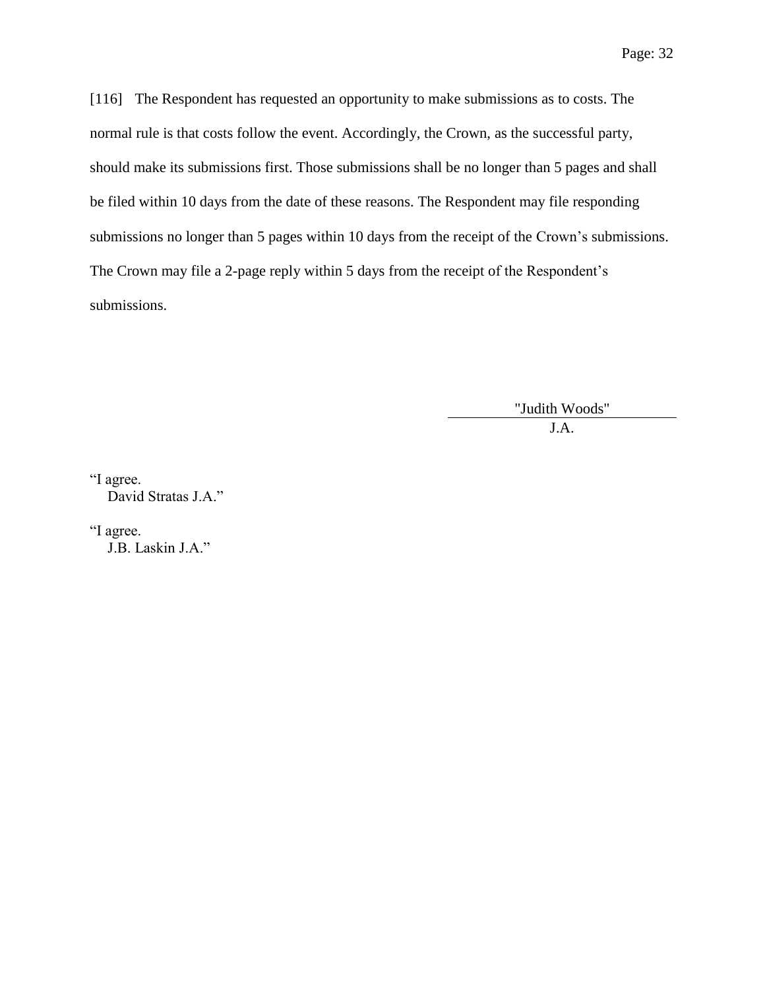[116] The Respondent has requested an opportunity to make submissions as to costs. The normal rule is that costs follow the event. Accordingly, the Crown, as the successful party, should make its submissions first. Those submissions shall be no longer than 5 pages and shall be filed within 10 days from the date of these reasons. The Respondent may file responding submissions no longer than 5 pages within 10 days from the receipt of the Crown's submissions. The Crown may file a 2-page reply within 5 days from the receipt of the Respondent's submissions.

> "Judith Woods" J.A.

"I agree. David Stratas J.A."

"I agree. J.B. Laskin J.A."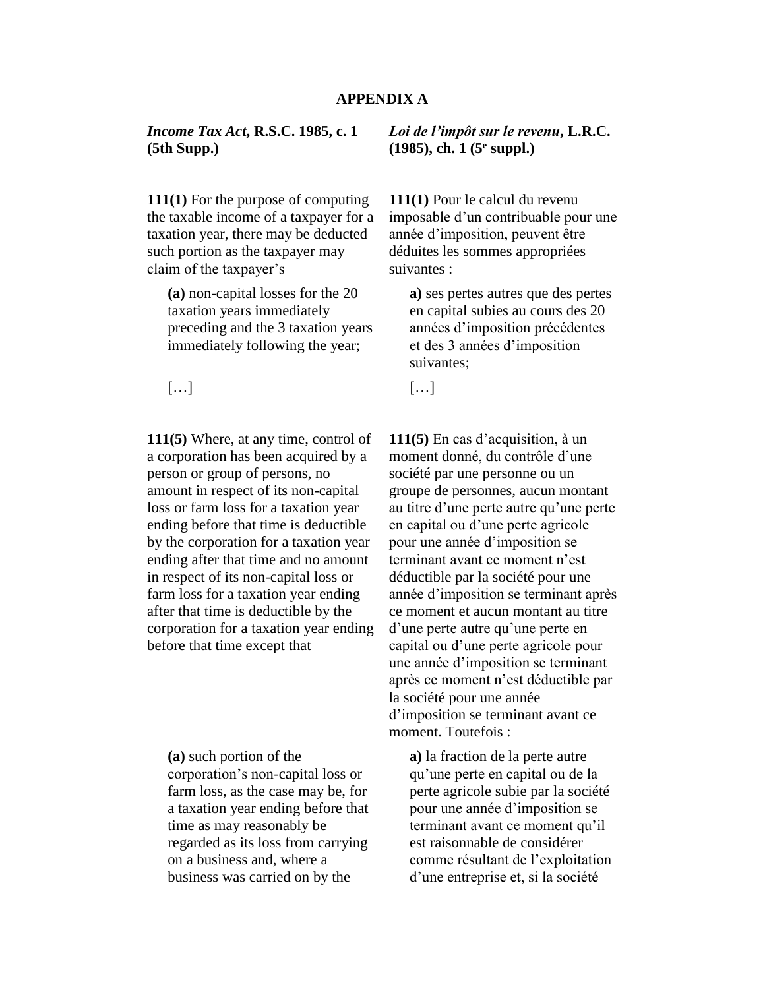## **APPENDIX A**

## *Income Tax Act***, R.S.C. 1985, c. 1 (5th Supp.)**

**111(1)** For the purpose of computing the taxable income of a taxpayer for a taxation year, there may be deducted such portion as the taxpayer may claim of the taxpayer's

**(a)** non-capital losses for the 20 taxation years immediately preceding and the 3 taxation years immediately following the year;

 $\left[...\right]$  [...]

**111(5)** Where, at any time, control of a corporation has been acquired by a person or group of persons, no amount in respect of its non-capital loss or farm loss for a taxation year ending before that time is deductible by the corporation for a taxation year ending after that time and no amount in respect of its non-capital loss or farm loss for a taxation year ending after that time is deductible by the corporation for a taxation year ending before that time except that

**(a)** such portion of the corporation's non-capital loss or farm loss, as the case may be, for a taxation year ending before that time as may reasonably be regarded as its loss from carrying on a business and, where a business was carried on by the

*Loi de l'impôt sur le revenu***, L.R.C. (1985), ch. 1 (5<sup>e</sup> suppl.)**

**111(1)** Pour le calcul du revenu imposable d'un contribuable pour une année d'imposition, peuvent être déduites les sommes appropriées suivantes :

**a)** ses pertes autres que des pertes en capital subies au cours des 20 années d'imposition précédentes et des 3 années d'imposition suivantes;

**111(5)** En cas d'acquisition, à un moment donné, du contrôle d'une société par une personne ou un groupe de personnes, aucun montant au titre d'une perte autre qu'une perte en capital ou d'une perte agricole pour une année d'imposition se terminant avant ce moment n'est déductible par la société pour une année d'imposition se terminant après ce moment et aucun montant au titre d'une perte autre qu'une perte en capital ou d'une perte agricole pour une année d'imposition se terminant après ce moment n'est déductible par la société pour une année d'imposition se terminant avant ce moment. Toutefois :

**a)** la fraction de la perte autre qu'une perte en capital ou de la perte agricole subie par la société pour une année d'imposition se terminant avant ce moment qu'il est raisonnable de considérer comme résultant de l'exploitation d'une entreprise et, si la société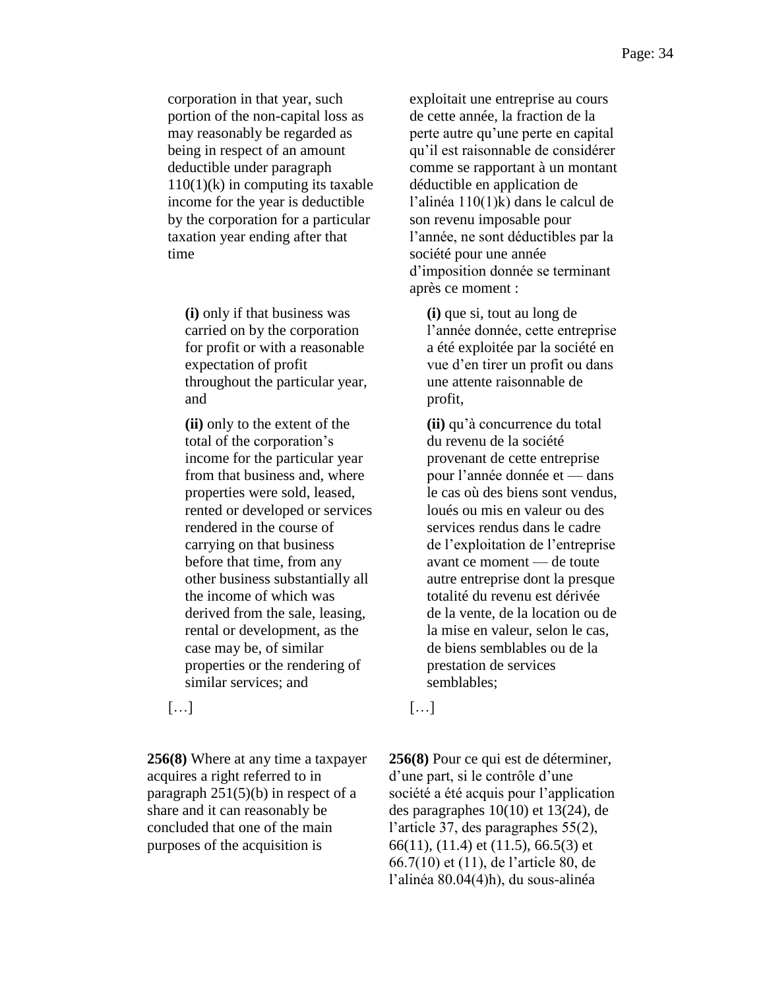corporation in that year, such portion of the non-capital loss as may reasonably be regarded as being in respect of an amount deductible under paragraph  $110(1)$ (k) in computing its taxable income for the year is deductible by the corporation for a particular taxation year ending after that time

**(i)** only if that business was carried on by the corporation for profit or with a reasonable expectation of profit throughout the particular year, and

**(ii)** only to the extent of the total of the corporation's income for the particular year from that business and, where properties were sold, leased, rented or developed or services rendered in the course of carrying on that business before that time, from any other business substantially all the income of which was derived from the sale, leasing, rental or development, as the case may be, of similar properties or the rendering of similar services; and

**256(8)** Where at any time a taxpayer acquires a right referred to in paragraph 251(5)(b) in respect of a share and it can reasonably be concluded that one of the main purposes of the acquisition is

exploitait une entreprise au cours de cette année, la fraction de la perte autre qu'une perte en capital qu'il est raisonnable de considérer comme se rapportant à un montant déductible en application de l'alinéa 110(1)k) dans le calcul de son revenu imposable pour l'année, ne sont déductibles par la société pour une année d'imposition donnée se terminant après ce moment :

**(i)** que si, tout au long de l'année donnée, cette entreprise a été exploitée par la société en vue d'en tirer un profit ou dans une attente raisonnable de profit,

**(ii)** qu'à concurrence du total du revenu de la société provenant de cette entreprise pour l'année donnée et — dans le cas où des biens sont vendus, loués ou mis en valeur ou des services rendus dans le cadre de l'exploitation de l'entreprise avant ce moment — de toute autre entreprise dont la presque totalité du revenu est dérivée de la vente, de la location ou de la mise en valeur, selon le cas, de biens semblables ou de la prestation de services semblables;

 $\left[ ... \right]$  […]

**256(8)** Pour ce qui est de déterminer, d'une part, si le contrôle d'une société a été acquis pour l'application des paragraphes 10(10) et 13(24), de l'article 37, des paragraphes 55(2), 66(11), (11.4) et (11.5), 66.5(3) et 66.7(10) et (11), de l'article 80, de l'alinéa 80.04(4)h), du sous-alinéa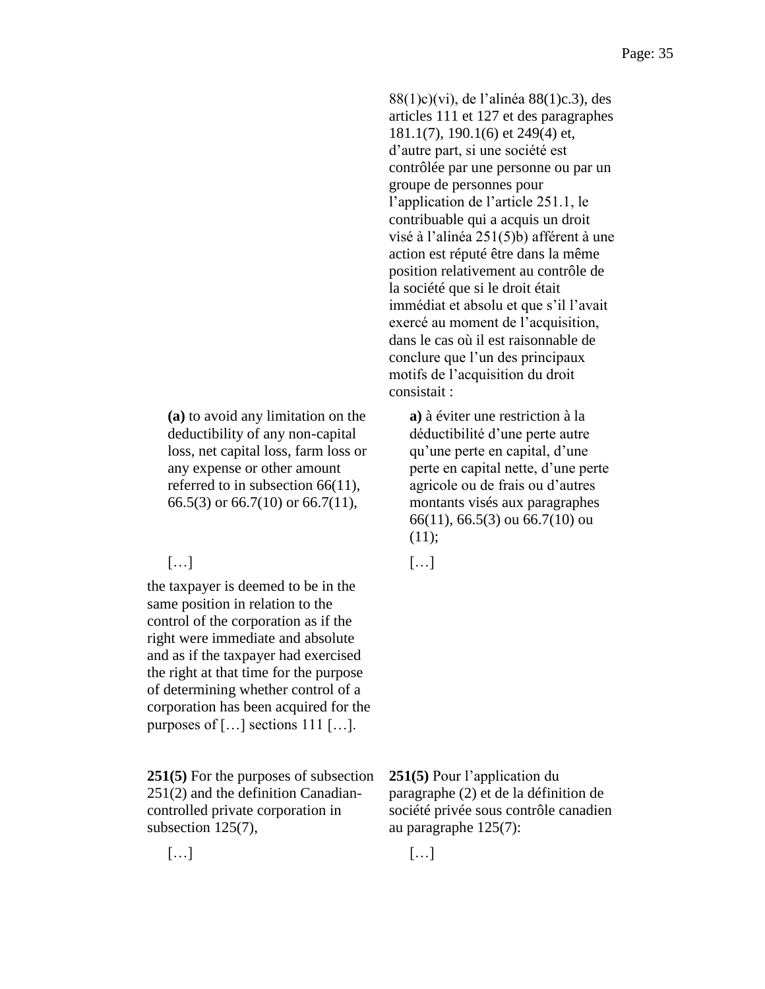**(a)** to avoid any limitation on the deductibility of any non-capital loss, net capital loss, farm loss or any expense or other amount referred to in subsection 66(11), 66.5(3) or 66.7(10) or 66.7(11),

# $\left[...\right]$  [...]

the taxpayer is deemed to be in the same position in relation to the control of the corporation as if the right were immediate and absolute and as if the taxpayer had exercised the right at that time for the purpose of determining whether control of a corporation has been acquired for the purposes of […] sections 111 […].

**251(5)** For the purposes of subsection 251(2) and the definition Canadiancontrolled private corporation in subsection 125(7),

 $\left[...\right]$  [...]

88(1)c)(vi), de l'alinéa 88(1)c.3), des articles 111 et 127 et des paragraphes 181.1(7), 190.1(6) et 249(4) et, d'autre part, si une société est contrôlée par une personne ou par un groupe de personnes pour l'application de l'article 251.1, le contribuable qui a acquis un droit visé à l'alinéa 251(5)b) afférent à une action est réputé être dans la même position relativement au contrôle de la société que si le droit était immédiat et absolu et que s'il l'avait exercé au moment de l'acquisition, dans le cas où il est raisonnable de conclure que l'un des principaux motifs de l'acquisition du droit consistait :

**a)** à éviter une restriction à la déductibilité d'une perte autre qu'une perte en capital, d'une perte en capital nette, d'une perte agricole ou de frais ou d'autres montants visés aux paragraphes 66(11), 66.5(3) ou 66.7(10) ou  $(11);$ 

**251(5)** Pour l'application du paragraphe (2) et de la définition de société privée sous contrôle canadien au paragraphe 125(7):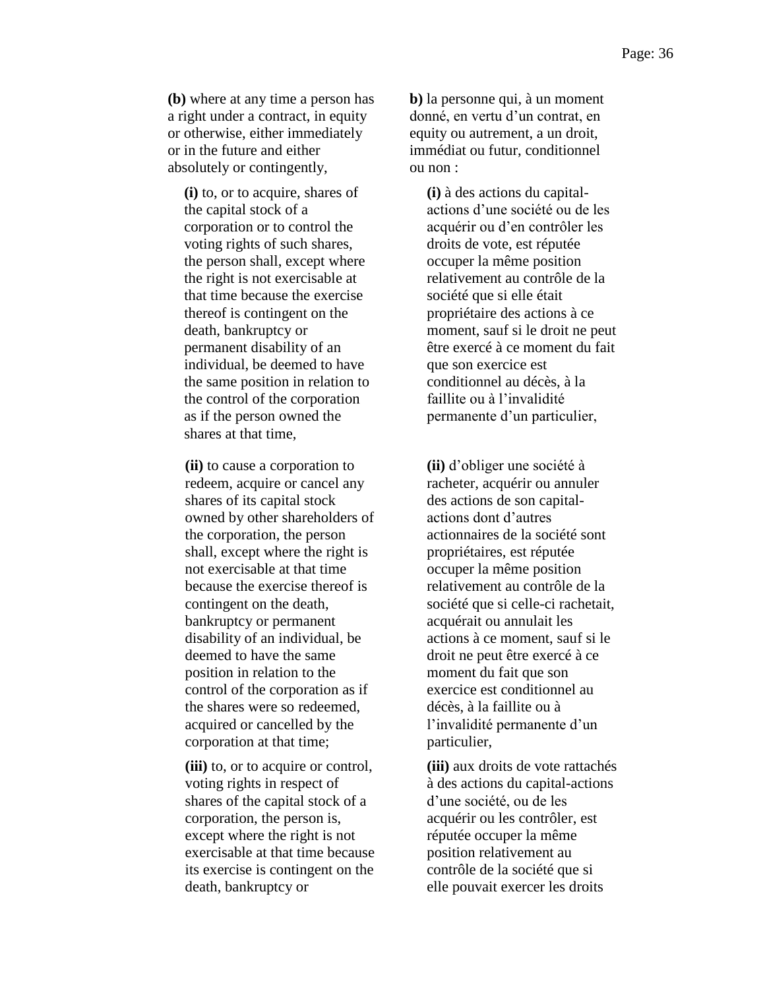**(b)** where at any time a person has a right under a contract, in equity or otherwise, either immediately or in the future and either absolutely or contingently,

**(i)** to, or to acquire, shares of the capital stock of a corporation or to control the voting rights of such shares, the person shall, except where the right is not exercisable at that time because the exercise thereof is contingent on the death, bankruptcy or permanent disability of an individual, be deemed to have the same position in relation to the control of the corporation as if the person owned the shares at that time,

**(ii)** to cause a corporation to redeem, acquire or cancel any shares of its capital stock owned by other shareholders of the corporation, the person shall, except where the right is not exercisable at that time because the exercise thereof is contingent on the death, bankruptcy or permanent disability of an individual, be deemed to have the same position in relation to the control of the corporation as if the shares were so redeemed, acquired or cancelled by the corporation at that time;

**(iii)** to, or to acquire or control, voting rights in respect of shares of the capital stock of a corporation, the person is, except where the right is not exercisable at that time because its exercise is contingent on the death, bankruptcy or

**b)** la personne qui, à un moment donné, en vertu d'un contrat, en equity ou autrement, a un droit, immédiat ou futur, conditionnel ou non :

**(i)** à des actions du capitalactions d'une société ou de les acquérir ou d'en contrôler les droits de vote, est réputée occuper la même position relativement au contrôle de la société que si elle était propriétaire des actions à ce moment, sauf si le droit ne peut être exercé à ce moment du fait que son exercice est conditionnel au décès, à la faillite ou à l'invalidité permanente d'un particulier,

**(ii)** d'obliger une société à racheter, acquérir ou annuler des actions de son capitalactions dont d'autres actionnaires de la société sont propriétaires, est réputée occuper la même position relativement au contrôle de la société que si celle-ci rachetait, acquérait ou annulait les actions à ce moment, sauf si le droit ne peut être exercé à ce moment du fait que son exercice est conditionnel au décès, à la faillite ou à l'invalidité permanente d'un particulier,

**(iii)** aux droits de vote rattachés à des actions du capital-actions d'une société, ou de les acquérir ou les contrôler, est réputée occuper la même position relativement au contrôle de la société que si elle pouvait exercer les droits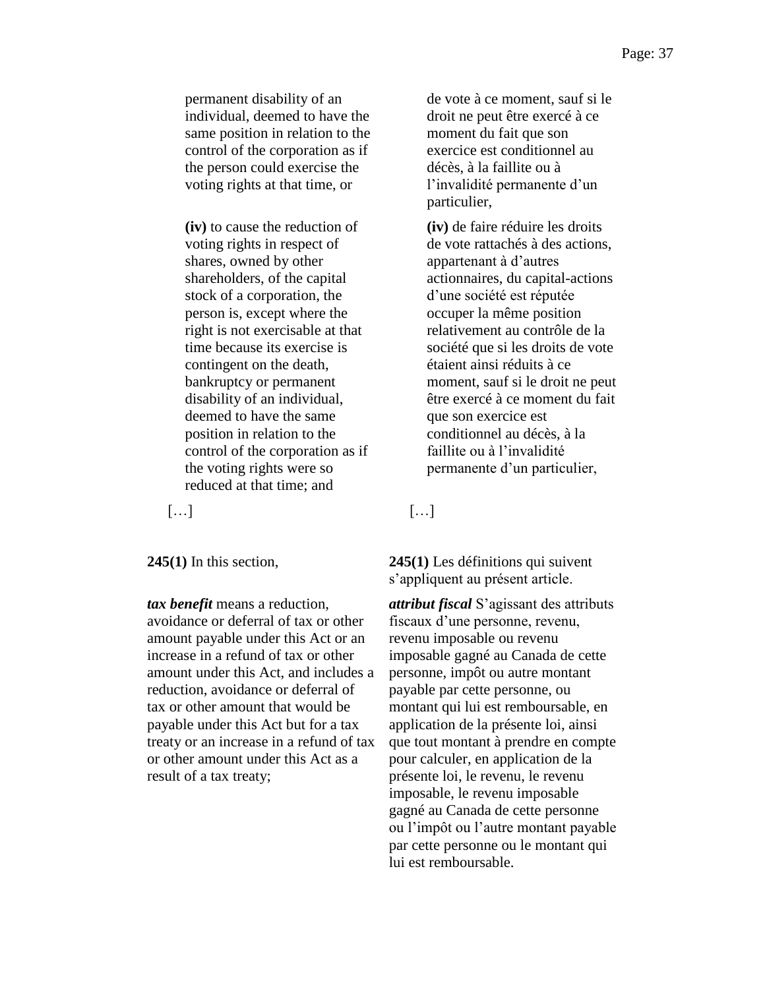permanent disability of an individual, deemed to have the same position in relation to the control of the corporation as if the person could exercise the voting rights at that time, or

**(iv)** to cause the reduction of voting rights in respect of shares, owned by other shareholders, of the capital stock of a corporation, the person is, except where the right is not exercisable at that time because its exercise is contingent on the death, bankruptcy or permanent disability of an individual, deemed to have the same position in relation to the control of the corporation as if the voting rights were so reduced at that time; and

*tax benefit* means a reduction, avoidance or deferral of tax or other amount payable under this Act or an increase in a refund of tax or other amount under this Act, and includes a reduction, avoidance or deferral of tax or other amount that would be payable under this Act but for a tax treaty or an increase in a refund of tax or other amount under this Act as a result of a tax treaty;

de vote à ce moment, sauf si le droit ne peut être exercé à ce moment du fait que son exercice est conditionnel au décès, à la faillite ou à l'invalidité permanente d'un particulier,

**(iv)** de faire réduire les droits de vote rattachés à des actions, appartenant à d'autres actionnaires, du capital-actions d'une société est réputée occuper la même position relativement au contrôle de la société que si les droits de vote étaient ainsi réduits à ce moment, sauf si le droit ne peut être exercé à ce moment du fait que son exercice est conditionnel au décès, à la faillite ou à l'invalidité permanente d'un particulier,

 $\left[\ldots\right]$  [ $\ldots$ ]

**245(1)** In this section, **245(1)** Les définitions qui suivent s'appliquent au présent article.

> *attribut fiscal* S'agissant des attributs fiscaux d'une personne, revenu, revenu imposable ou revenu imposable gagné au Canada de cette personne, impôt ou autre montant payable par cette personne, ou montant qui lui est remboursable, en application de la présente loi, ainsi que tout montant à prendre en compte pour calculer, en application de la présente loi, le revenu, le revenu imposable, le revenu imposable gagné au Canada de cette personne ou l'impôt ou l'autre montant payable par cette personne ou le montant qui lui est remboursable.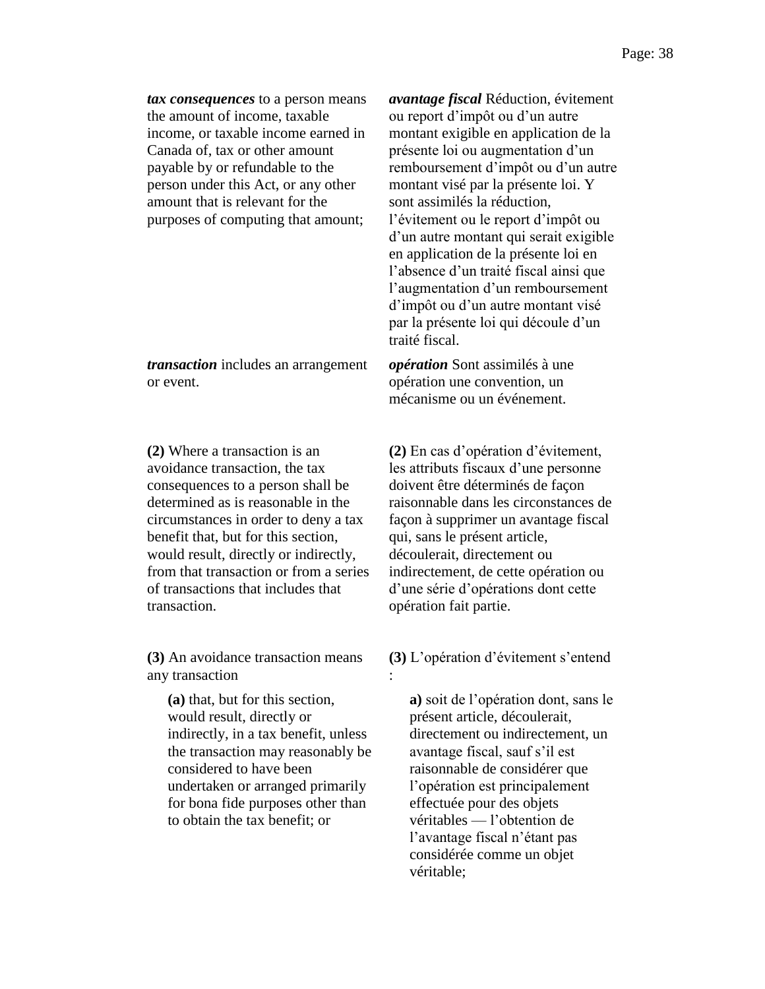*tax consequences* to a person means the amount of income, taxable income, or taxable income earned in Canada of, tax or other amount payable by or refundable to the person under this Act, or any other amount that is relevant for the purposes of computing that amount;

*transaction* includes an arrangement or event.

**(2)** Where a transaction is an avoidance transaction, the tax consequences to a person shall be determined as is reasonable in the circumstances in order to deny a tax benefit that, but for this section, would result, directly or indirectly, from that transaction or from a series of transactions that includes that transaction.

**(3)** An avoidance transaction means any transaction

**(a)** that, but for this section, would result, directly or indirectly, in a tax benefit, unless the transaction may reasonably be considered to have been undertaken or arranged primarily for bona fide purposes other than to obtain the tax benefit; or

*avantage fiscal* Réduction, évitement ou report d'impôt ou d'un autre montant exigible en application de la présente loi ou augmentation d'un remboursement d'impôt ou d'un autre montant visé par la présente loi. Y sont assimilés la réduction, l'évitement ou le report d'impôt ou d'un autre montant qui serait exigible en application de la présente loi en l'absence d'un traité fiscal ainsi que l'augmentation d'un remboursement d'impôt ou d'un autre montant visé par la présente loi qui découle d'un traité fiscal.

*opération* Sont assimilés à une opération une convention, un mécanisme ou un événement.

**(2)** En cas d'opération d'évitement, les attributs fiscaux d'une personne doivent être déterminés de façon raisonnable dans les circonstances de façon à supprimer un avantage fiscal qui, sans le présent article, découlerait, directement ou indirectement, de cette opération ou d'une série d'opérations dont cette opération fait partie.

**(3)** L'opération d'évitement s'entend :

**a)** soit de l'opération dont, sans le présent article, découlerait, directement ou indirectement, un avantage fiscal, sauf s'il est raisonnable de considérer que l'opération est principalement effectuée pour des objets véritables — l'obtention de l'avantage fiscal n'étant pas considérée comme un objet véritable;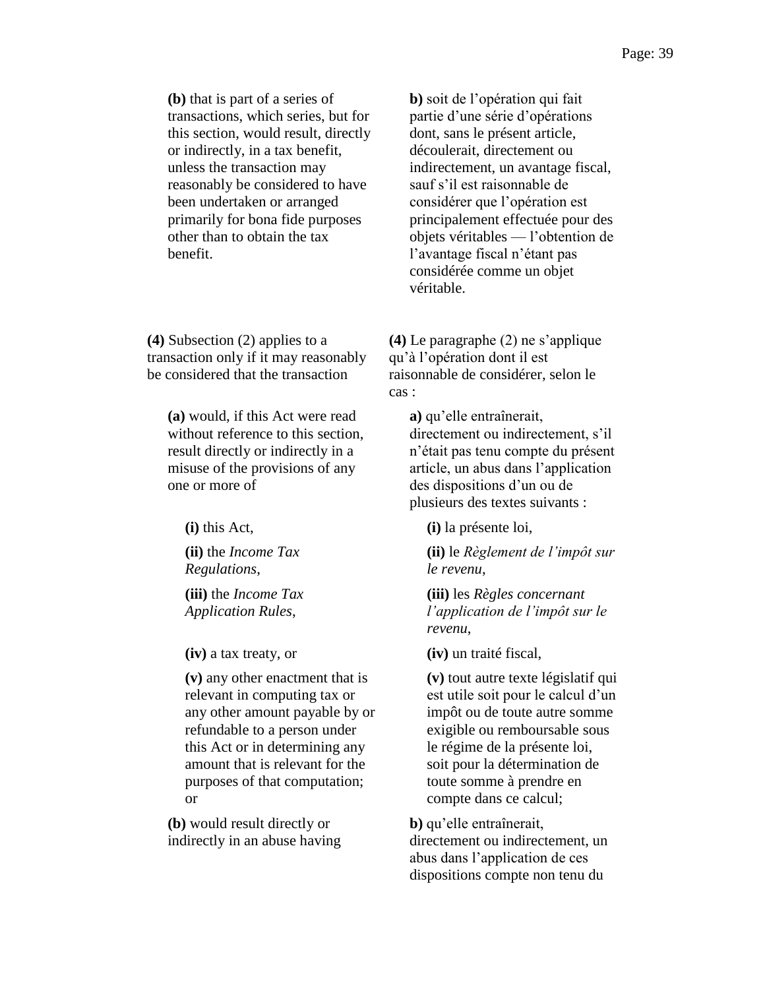**(b)** that is part of a series of transactions, which series, but for this section, would result, directly or indirectly, in a tax benefit, unless the transaction may reasonably be considered to have been undertaken or arranged primarily for bona fide purposes other than to obtain the tax benefit.

**(4)** Subsection (2) applies to a transaction only if it may reasonably be considered that the transaction

**(a)** would, if this Act were read without reference to this section, result directly or indirectly in a misuse of the provisions of any one or more of

**(ii)** the *Income Tax Regulations*,

**(iii)** the *Income Tax Application Rules*,

**(v)** any other enactment that is relevant in computing tax or any other amount payable by or refundable to a person under this Act or in determining any amount that is relevant for the purposes of that computation; or

**(b)** would result directly or indirectly in an abuse having **b)** soit de l'opération qui fait partie d'une série d'opérations dont, sans le présent article, découlerait, directement ou indirectement, un avantage fiscal, sauf s'il est raisonnable de considérer que l'opération est principalement effectuée pour des objets véritables — l'obtention de l'avantage fiscal n'étant pas considérée comme un objet véritable.

**(4)** Le paragraphe (2) ne s'applique qu'à l'opération dont il est raisonnable de considérer, selon le cas :

**a)** qu'elle entraînerait, directement ou indirectement, s'il n'était pas tenu compte du présent article, un abus dans l'application des dispositions d'un ou de plusieurs des textes suivants :

**(i)** this Act, **(i)** la présente loi,

**(ii)** le *Règlement de l'impôt sur le revenu*,

**(iii)** les *Règles concernant l'application de l'impôt sur le revenu*,

**(iv)** a tax treaty, or **(iv)** un traité fiscal,

**(v)** tout autre texte législatif qui est utile soit pour le calcul d'un impôt ou de toute autre somme exigible ou remboursable sous le régime de la présente loi, soit pour la détermination de toute somme à prendre en compte dans ce calcul;

**b)** qu'elle entraînerait, directement ou indirectement, un abus dans l'application de ces dispositions compte non tenu du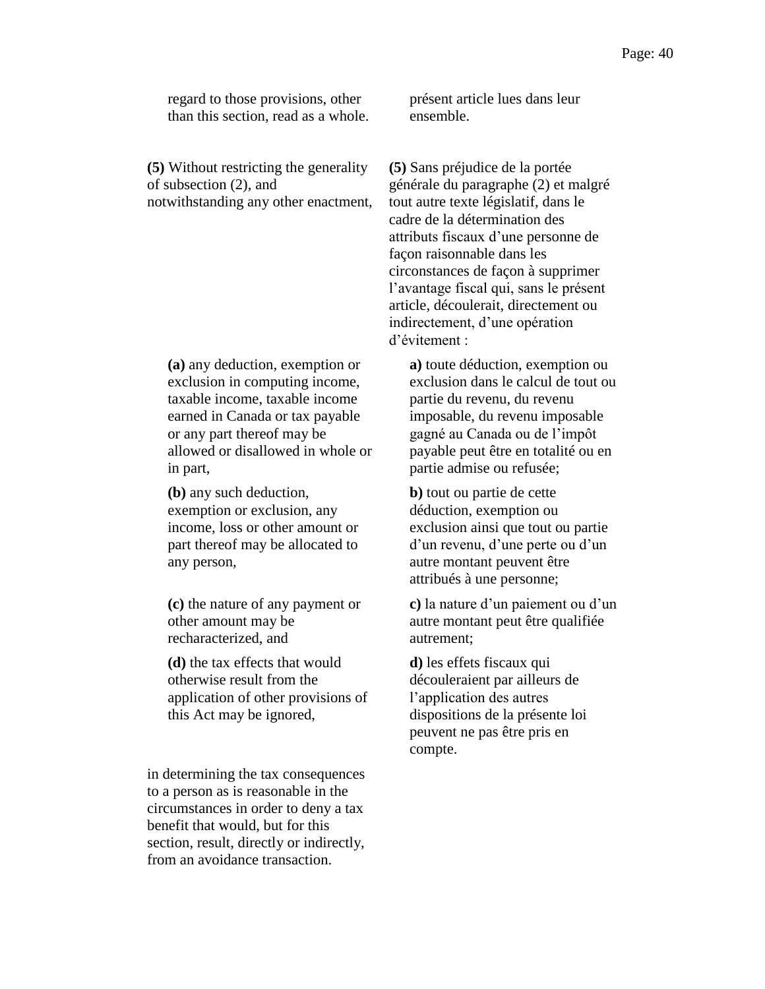regard to those provisions, other than this section, read as a whole.

**(5)** Without restricting the generality of subsection (2), and notwithstanding any other enactment,

**(a)** any deduction, exemption or exclusion in computing income, taxable income, taxable income earned in Canada or tax payable or any part thereof may be allowed or disallowed in whole or in part,

**(b)** any such deduction, exemption or exclusion, any income, loss or other amount or part thereof may be allocated to any person,

**(c)** the nature of any payment or other amount may be recharacterized, and

**(d)** the tax effects that would otherwise result from the application of other provisions of this Act may be ignored,

in determining the tax consequences to a person as is reasonable in the circumstances in order to deny a tax benefit that would, but for this section, result, directly or indirectly, from an avoidance transaction.

présent article lues dans leur ensemble.

**(5)** Sans préjudice de la portée générale du paragraphe (2) et malgré tout autre texte législatif, dans le cadre de la détermination des attributs fiscaux d'une personne de façon raisonnable dans les circonstances de façon à supprimer l'avantage fiscal qui, sans le présent article, découlerait, directement ou indirectement, d'une opération d'évitement :

**a)** toute déduction, exemption ou exclusion dans le calcul de tout ou partie du revenu, du revenu imposable, du revenu imposable gagné au Canada ou de l'impôt payable peut être en totalité ou en partie admise ou refusée;

**b)** tout ou partie de cette déduction, exemption ou exclusion ainsi que tout ou partie d'un revenu, d'une perte ou d'un autre montant peuvent être attribués à une personne;

**c)** la nature d'un paiement ou d'un autre montant peut être qualifiée autrement;

**d)** les effets fiscaux qui découleraient par ailleurs de l'application des autres dispositions de la présente loi peuvent ne pas être pris en compte.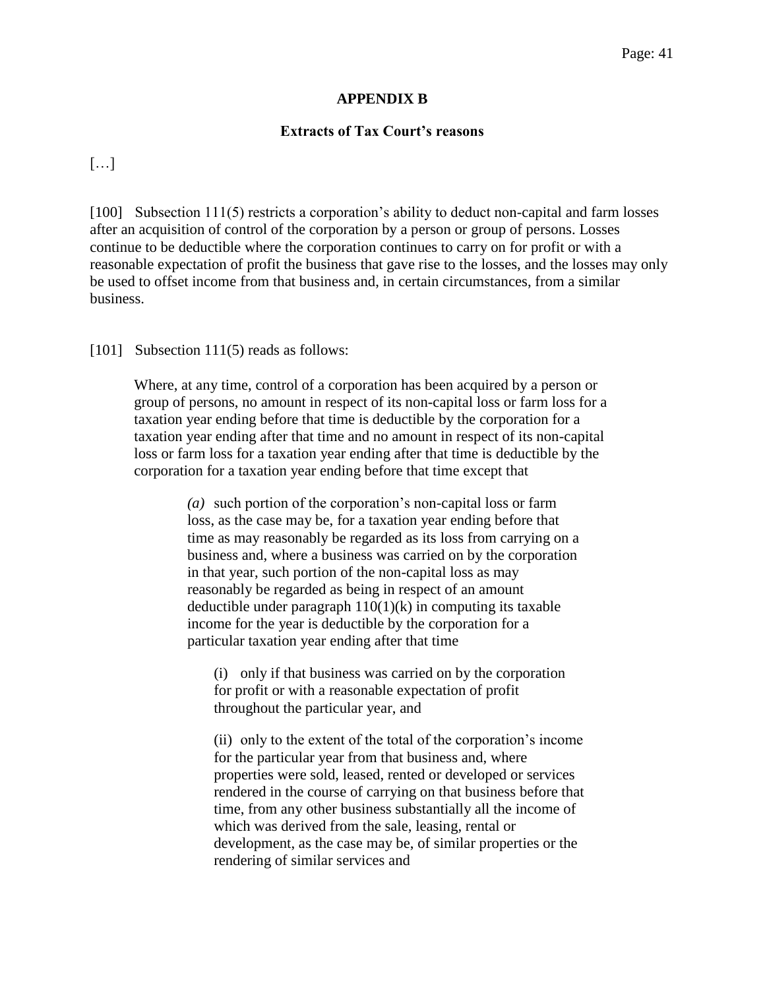## **APPENDIX B**

## **Extracts of Tax Court's reasons**

[…]

[100] Subsection 111(5) restricts a corporation's ability to deduct non-capital and farm losses after an acquisition of control of the corporation by a person or group of persons. Losses continue to be deductible where the corporation continues to carry on for profit or with a reasonable expectation of profit the business that gave rise to the losses, and the losses may only be used to offset income from that business and, in certain circumstances, from a similar business.

[101] Subsection 111(5) reads as follows:

Where, at any time, control of a corporation has been acquired by a person or group of persons, no amount in respect of its non-capital loss or farm loss for a taxation year ending before that time is deductible by the corporation for a taxation year ending after that time and no amount in respect of its non-capital loss or farm loss for a taxation year ending after that time is deductible by the corporation for a taxation year ending before that time except that

> *(a)* such portion of the corporation's non-capital loss or farm loss, as the case may be, for a taxation year ending before that time as may reasonably be regarded as its loss from carrying on a business and, where a business was carried on by the corporation in that year, such portion of the non-capital loss as may reasonably be regarded as being in respect of an amount deductible under paragraph  $110(1)(k)$  in computing its taxable income for the year is deductible by the corporation for a particular taxation year ending after that time

(i) only if that business was carried on by the corporation for profit or with a reasonable expectation of profit throughout the particular year, and

(ii) only to the extent of the total of the corporation's income for the particular year from that business and, where properties were sold, leased, rented or developed or services rendered in the course of carrying on that business before that time, from any other business substantially all the income of which was derived from the sale, leasing, rental or development, as the case may be, of similar properties or the rendering of similar services and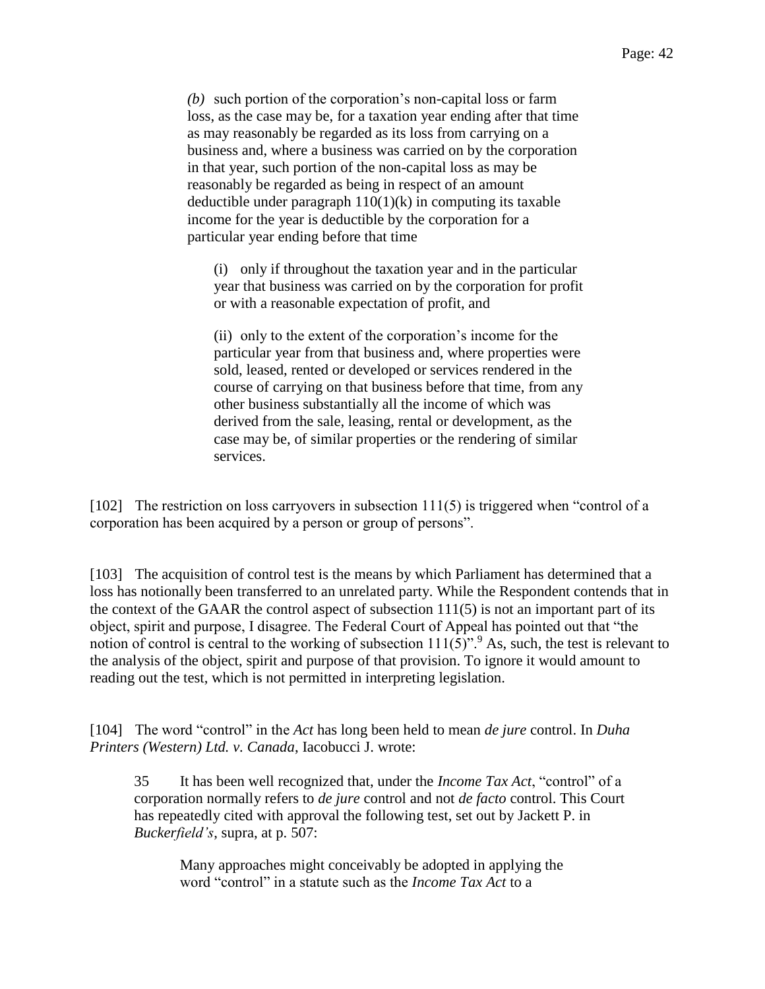*(b)* such portion of the corporation's non-capital loss or farm loss, as the case may be, for a taxation year ending after that time as may reasonably be regarded as its loss from carrying on a business and, where a business was carried on by the corporation in that year, such portion of the non-capital loss as may be reasonably be regarded as being in respect of an amount deductible under paragraph  $110(1)(k)$  in computing its taxable income for the year is deductible by the corporation for a particular year ending before that time

(i) only if throughout the taxation year and in the particular year that business was carried on by the corporation for profit or with a reasonable expectation of profit, and

(ii) only to the extent of the corporation's income for the particular year from that business and, where properties were sold, leased, rented or developed or services rendered in the course of carrying on that business before that time, from any other business substantially all the income of which was derived from the sale, leasing, rental or development, as the case may be, of similar properties or the rendering of similar services.

[102] The restriction on loss carryovers in subsection 111(5) is triggered when "control of a corporation has been acquired by a person or group of persons".

[103] The acquisition of control test is the means by which Parliament has determined that a loss has notionally been transferred to an unrelated party. While the Respondent contends that in the context of the GAAR the control aspect of subsection 111(5) is not an important part of its object, spirit and purpose, I disagree. The Federal Court of Appeal has pointed out that "the notion of control is central to the working of subsection  $111(5)$ ".<sup>9</sup> As, such, the test is relevant to the analysis of the object, spirit and purpose of that provision. To ignore it would amount to reading out the test, which is not permitted in interpreting legislation.

[104] The word "control" in the *Act* has long been held to mean *de jure* control. In *Duha Printers (Western) Ltd. v. Canada*, Iacobucci J. wrote:

35 It has been well recognized that, under the *Income Tax Act*, "control" of a corporation normally refers to *de jure* control and not *de facto* control. This Court has repeatedly cited with approval the following test, set out by Jackett P. in *Buckerfield's*, supra, at p. 507:

Many approaches might conceivably be adopted in applying the word "control" in a statute such as the *Income Tax Act* to a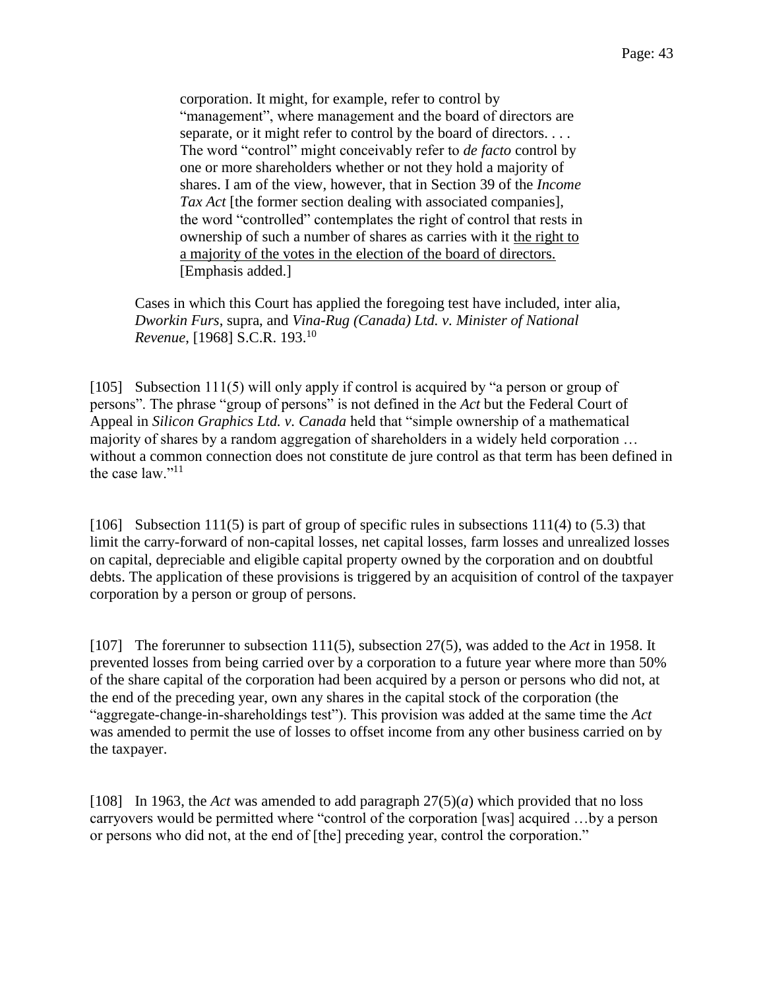corporation. It might, for example, refer to control by "management", where management and the board of directors are separate, or it might refer to control by the board of directors.... The word "control" might conceivably refer to *de facto* control by one or more shareholders whether or not they hold a majority of shares. I am of the view, however, that in Section 39 of the *Income Tax Act* [the former section dealing with associated companies], the word "controlled" contemplates the right of control that rests in ownership of such a number of shares as carries with it the right to a majority of the votes in the election of the board of directors. [Emphasis added.]

Cases in which this Court has applied the foregoing test have included, inter alia, *Dworkin Furs*, supra, and *Vina-Rug (Canada) Ltd. v. Minister of National Revenue*, [1968] S.C.R. 193.<sup>10</sup>

[105] Subsection 111(5) will only apply if control is acquired by "a person or group of persons". The phrase "group of persons" is not defined in the *Act* but the Federal Court of Appeal in *Silicon Graphics Ltd. v. Canada* held that "simple ownership of a mathematical majority of shares by a random aggregation of shareholders in a widely held corporation … without a common connection does not constitute de jure control as that term has been defined in the case law."<sup>11</sup>

[106] Subsection 111(5) is part of group of specific rules in subsections 111(4) to (5.3) that limit the carry-forward of non-capital losses, net capital losses, farm losses and unrealized losses on capital, depreciable and eligible capital property owned by the corporation and on doubtful debts. The application of these provisions is triggered by an acquisition of control of the taxpayer corporation by a person or group of persons.

[107] The forerunner to subsection 111(5), subsection 27(5), was added to the *Act* in 1958. It prevented losses from being carried over by a corporation to a future year where more than 50% of the share capital of the corporation had been acquired by a person or persons who did not, at the end of the preceding year, own any shares in the capital stock of the corporation (the "aggregate-change-in-shareholdings test"). This provision was added at the same time the *Act* was amended to permit the use of losses to offset income from any other business carried on by the taxpayer.

[108] In 1963, the *Act* was amended to add paragraph 27(5)(*a*) which provided that no loss carryovers would be permitted where "control of the corporation [was] acquired …by a person or persons who did not, at the end of [the] preceding year, control the corporation."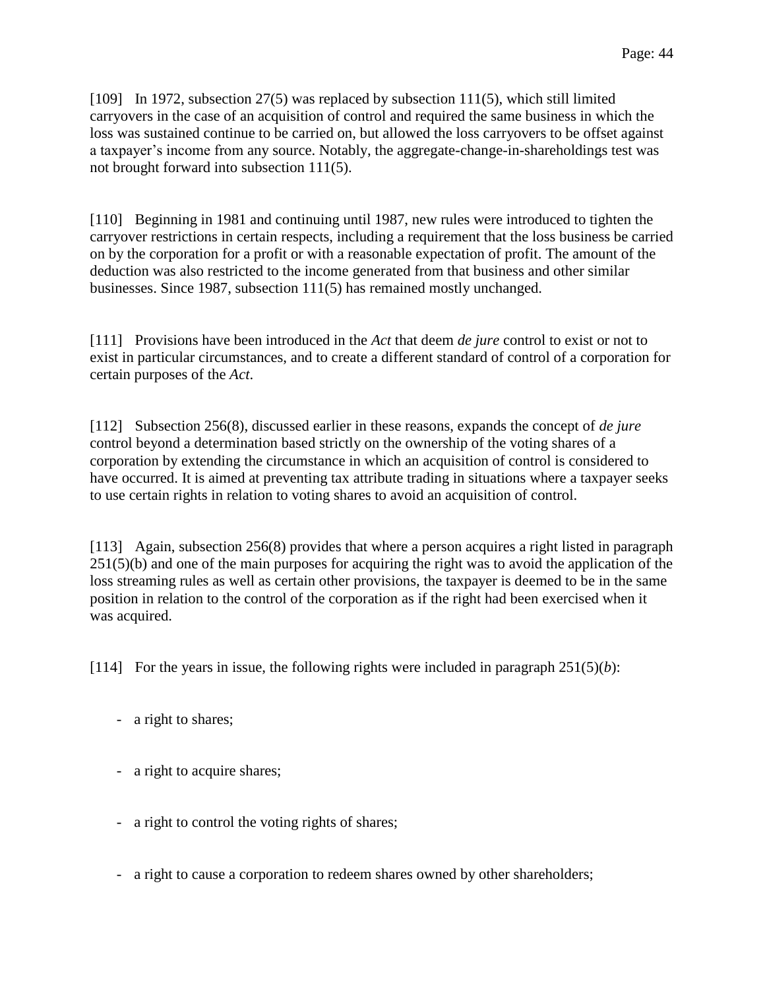[109] In 1972, subsection 27(5) was replaced by subsection 111(5), which still limited carryovers in the case of an acquisition of control and required the same business in which the loss was sustained continue to be carried on, but allowed the loss carryovers to be offset against a taxpayer's income from any source. Notably, the aggregate-change-in-shareholdings test was not brought forward into subsection 111(5).

[110] Beginning in 1981 and continuing until 1987, new rules were introduced to tighten the carryover restrictions in certain respects, including a requirement that the loss business be carried on by the corporation for a profit or with a reasonable expectation of profit. The amount of the deduction was also restricted to the income generated from that business and other similar businesses. Since 1987, subsection 111(5) has remained mostly unchanged.

[111] Provisions have been introduced in the *Act* that deem *de jure* control to exist or not to exist in particular circumstances, and to create a different standard of control of a corporation for certain purposes of the *Act*.

[112] Subsection 256(8), discussed earlier in these reasons, expands the concept of *de jure* control beyond a determination based strictly on the ownership of the voting shares of a corporation by extending the circumstance in which an acquisition of control is considered to have occurred. It is aimed at preventing tax attribute trading in situations where a taxpayer seeks to use certain rights in relation to voting shares to avoid an acquisition of control.

[113] Again, subsection 256(8) provides that where a person acquires a right listed in paragraph 251(5)(b) and one of the main purposes for acquiring the right was to avoid the application of the loss streaming rules as well as certain other provisions, the taxpayer is deemed to be in the same position in relation to the control of the corporation as if the right had been exercised when it was acquired.

[114] For the years in issue, the following rights were included in paragraph  $251(5)(b)$ :

- a right to shares;
- a right to acquire shares;
- a right to control the voting rights of shares;
- a right to cause a corporation to redeem shares owned by other shareholders;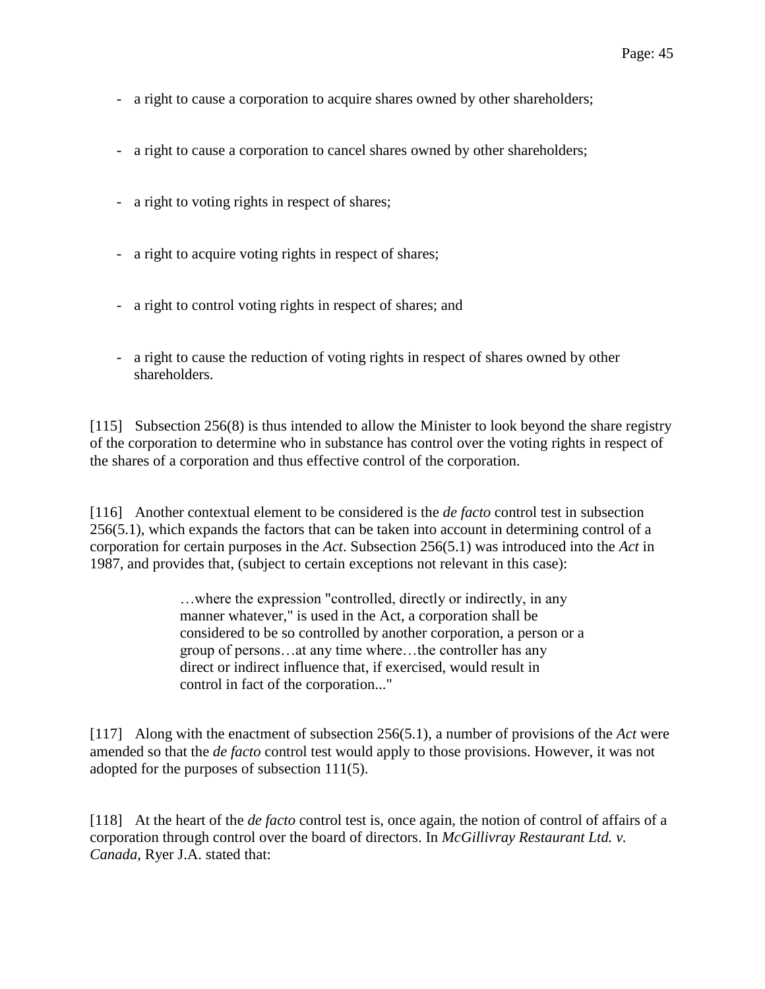- a right to cause a corporation to acquire shares owned by other shareholders;
- a right to cause a corporation to cancel shares owned by other shareholders;
- a right to voting rights in respect of shares;
- a right to acquire voting rights in respect of shares;
- a right to control voting rights in respect of shares; and
- a right to cause the reduction of voting rights in respect of shares owned by other shareholders.

[115] Subsection 256(8) is thus intended to allow the Minister to look beyond the share registry of the corporation to determine who in substance has control over the voting rights in respect of the shares of a corporation and thus effective control of the corporation.

[116] Another contextual element to be considered is the *de facto* control test in subsection 256(5.1), which expands the factors that can be taken into account in determining control of a corporation for certain purposes in the *Act*. Subsection 256(5.1) was introduced into the *Act* in 1987, and provides that, (subject to certain exceptions not relevant in this case):

> …where the expression "controlled, directly or indirectly, in any manner whatever," is used in the Act, a corporation shall be considered to be so controlled by another corporation, a person or a group of persons…at any time where…the controller has any direct or indirect influence that, if exercised, would result in control in fact of the corporation..."

[117] Along with the enactment of subsection 256(5.1), a number of provisions of the *Act* were amended so that the *de facto* control test would apply to those provisions. However, it was not adopted for the purposes of subsection 111(5).

[118] At the heart of the *de facto* control test is, once again, the notion of control of affairs of a corporation through control over the board of directors. In *McGillivray Restaurant Ltd. v. Canada*, Ryer J.A. stated that: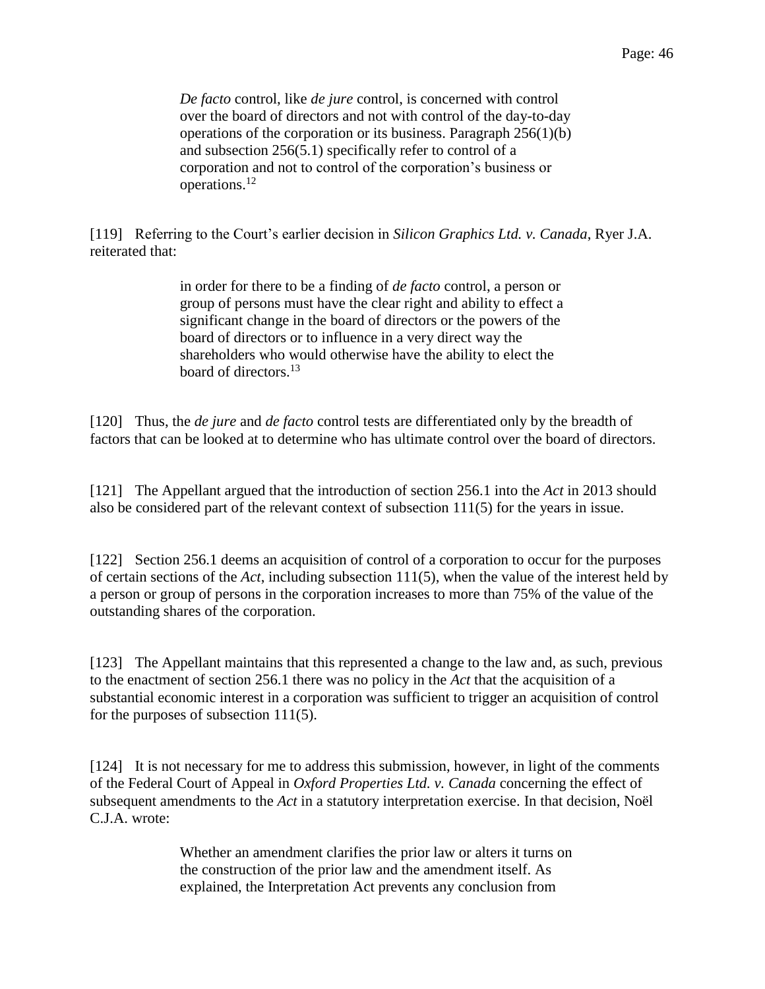*De facto* control, like *de jure* control, is concerned with control over the board of directors and not with control of the day-to-day operations of the corporation or its business. Paragraph 256(1)(b) and subsection 256(5.1) specifically refer to control of a corporation and not to control of the corporation's business or operations.<sup>12</sup>

[119] Referring to the Court's earlier decision in *Silicon Graphics Ltd. v. Canada*, Ryer J.A. reiterated that:

> in order for there to be a finding of *de facto* control, a person or group of persons must have the clear right and ability to effect a significant change in the board of directors or the powers of the board of directors or to influence in a very direct way the shareholders who would otherwise have the ability to elect the board of directors.<sup>13</sup>

[120] Thus, the *de jure* and *de facto* control tests are differentiated only by the breadth of factors that can be looked at to determine who has ultimate control over the board of directors.

[121] The Appellant argued that the introduction of section 256.1 into the *Act* in 2013 should also be considered part of the relevant context of subsection 111(5) for the years in issue.

[122] Section 256.1 deems an acquisition of control of a corporation to occur for the purposes of certain sections of the *Act*, including subsection 111(5), when the value of the interest held by a person or group of persons in the corporation increases to more than 75% of the value of the outstanding shares of the corporation.

[123] The Appellant maintains that this represented a change to the law and, as such, previous to the enactment of section 256.1 there was no policy in the *Act* that the acquisition of a substantial economic interest in a corporation was sufficient to trigger an acquisition of control for the purposes of subsection 111(5).

[124] It is not necessary for me to address this submission, however, in light of the comments of the Federal Court of Appeal in *Oxford Properties Ltd. v. Canada* concerning the effect of subsequent amendments to the *Act* in a statutory interpretation exercise. In that decision, Noël C.J.A. wrote:

> Whether an amendment clarifies the prior law or alters it turns on the construction of the prior law and the amendment itself. As explained, the Interpretation Act prevents any conclusion from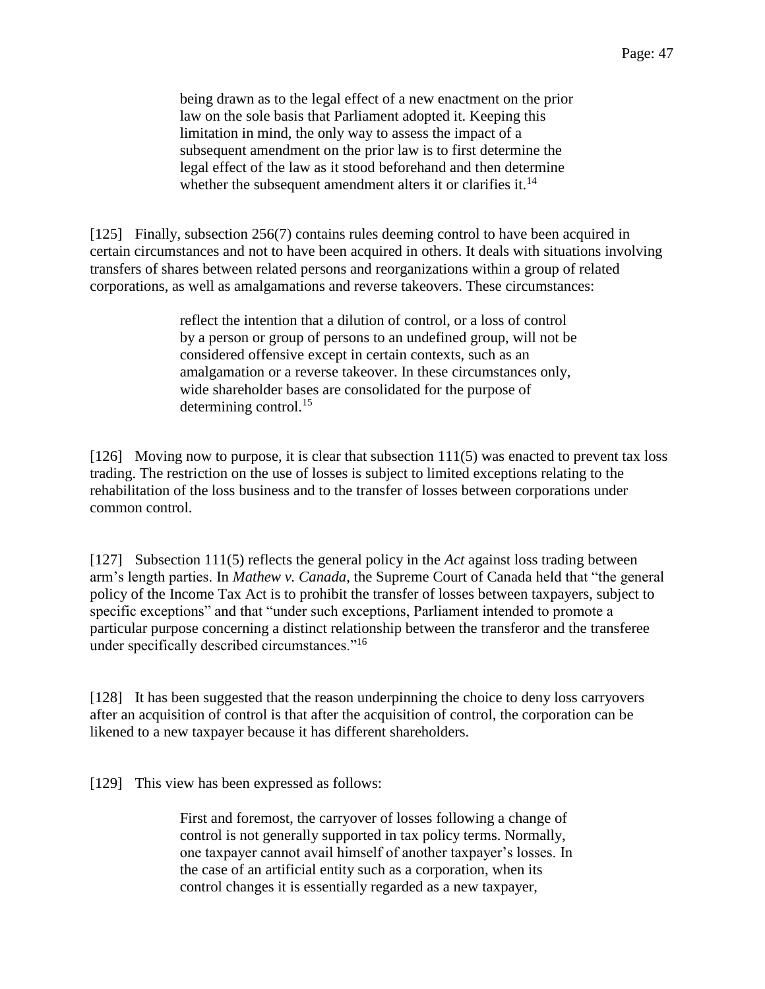being drawn as to the legal effect of a new enactment on the prior law on the sole basis that Parliament adopted it. Keeping this limitation in mind, the only way to assess the impact of a subsequent amendment on the prior law is to first determine the legal effect of the law as it stood beforehand and then determine whether the subsequent amendment alters it or clarifies it. $^{14}$ 

[125] Finally, subsection 256(7) contains rules deeming control to have been acquired in certain circumstances and not to have been acquired in others. It deals with situations involving transfers of shares between related persons and reorganizations within a group of related corporations, as well as amalgamations and reverse takeovers. These circumstances:

> reflect the intention that a dilution of control, or a loss of control by a person or group of persons to an undefined group, will not be considered offensive except in certain contexts, such as an amalgamation or a reverse takeover. In these circumstances only, wide shareholder bases are consolidated for the purpose of determining control.<sup>15</sup>

[126] Moving now to purpose, it is clear that subsection 111(5) was enacted to prevent tax loss trading. The restriction on the use of losses is subject to limited exceptions relating to the rehabilitation of the loss business and to the transfer of losses between corporations under common control.

[127] Subsection 111(5) reflects the general policy in the *Act* against loss trading between arm's length parties. In *Mathew v. Canada*, the Supreme Court of Canada held that "the general policy of the Income Tax Act is to prohibit the transfer of losses between taxpayers, subject to specific exceptions" and that "under such exceptions, Parliament intended to promote a particular purpose concerning a distinct relationship between the transferor and the transferee under specifically described circumstances."<sup>16</sup>

[128] It has been suggested that the reason underpinning the choice to deny loss carryovers after an acquisition of control is that after the acquisition of control, the corporation can be likened to a new taxpayer because it has different shareholders.

[129] This view has been expressed as follows:

First and foremost, the carryover of losses following a change of control is not generally supported in tax policy terms. Normally, one taxpayer cannot avail himself of another taxpayer's losses. In the case of an artificial entity such as a corporation, when its control changes it is essentially regarded as a new taxpayer,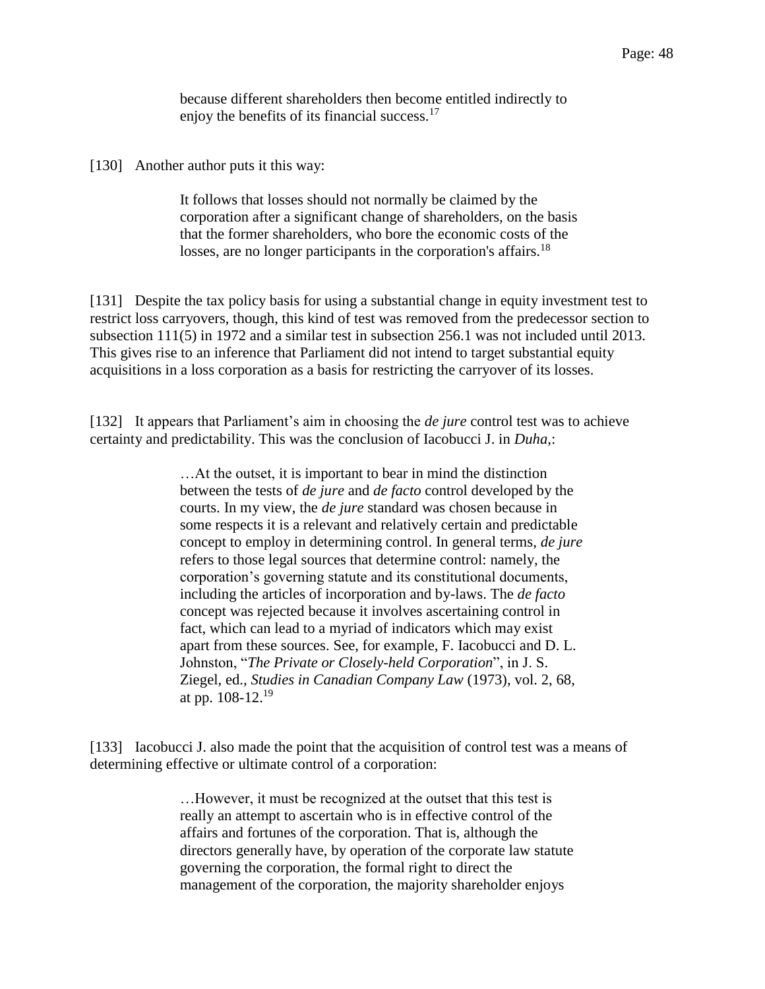because different shareholders then become entitled indirectly to enjoy the benefits of its financial success.<sup>17</sup>

[130] Another author puts it this way:

It follows that losses should not normally be claimed by the corporation after a significant change of shareholders, on the basis that the former shareholders, who bore the economic costs of the losses, are no longer participants in the corporation's affairs.<sup>18</sup>

[131] Despite the tax policy basis for using a substantial change in equity investment test to restrict loss carryovers, though, this kind of test was removed from the predecessor section to subsection 111(5) in 1972 and a similar test in subsection 256.1 was not included until 2013. This gives rise to an inference that Parliament did not intend to target substantial equity acquisitions in a loss corporation as a basis for restricting the carryover of its losses.

[132] It appears that Parliament's aim in choosing the *de jure* control test was to achieve certainty and predictability. This was the conclusion of Iacobucci J. in *Duha*,:

> …At the outset, it is important to bear in mind the distinction between the tests of *de jure* and *de facto* control developed by the courts. In my view, the *de jure* standard was chosen because in some respects it is a relevant and relatively certain and predictable concept to employ in determining control. In general terms, *de jure* refers to those legal sources that determine control: namely, the corporation's governing statute and its constitutional documents, including the articles of incorporation and by-laws. The *de facto* concept was rejected because it involves ascertaining control in fact, which can lead to a myriad of indicators which may exist apart from these sources. See, for example, F. Iacobucci and D. L. Johnston, "*The Private or Closely-held Corporation*", in J. S. Ziegel, ed., *Studies in Canadian Company Law* (1973), vol. 2, 68, at pp.  $108-12.^{19}$

[133] Iacobucci J. also made the point that the acquisition of control test was a means of determining effective or ultimate control of a corporation:

> …However, it must be recognized at the outset that this test is really an attempt to ascertain who is in effective control of the affairs and fortunes of the corporation. That is, although the directors generally have, by operation of the corporate law statute governing the corporation, the formal right to direct the management of the corporation, the majority shareholder enjoys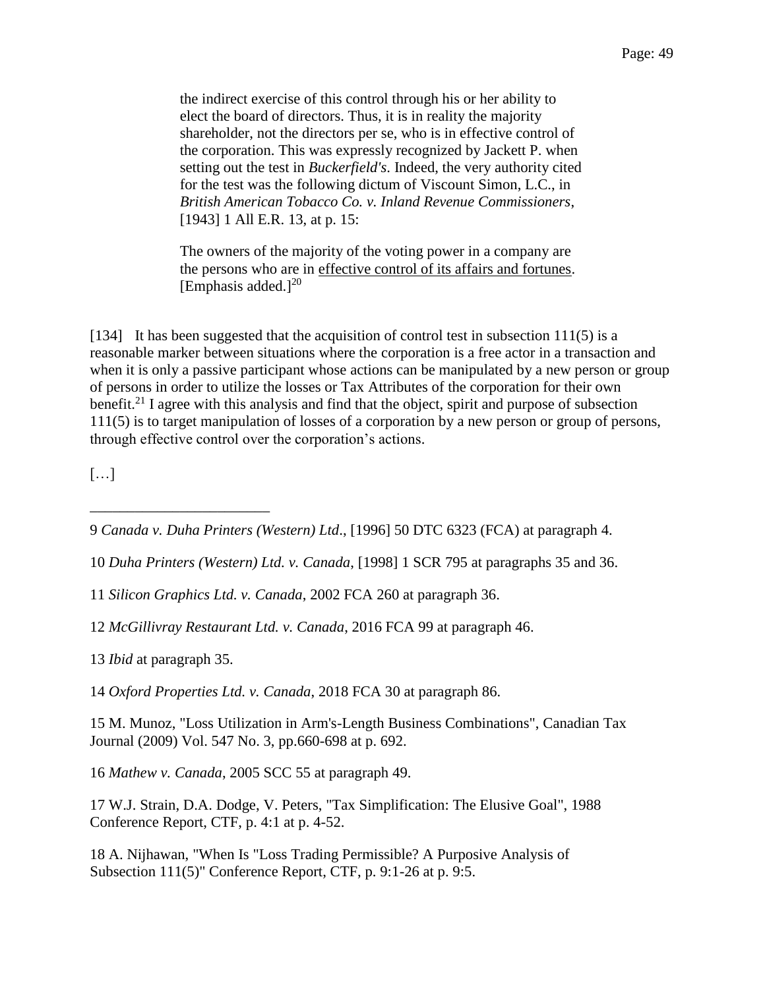the indirect exercise of this control through his or her ability to elect the board of directors. Thus, it is in reality the majority shareholder, not the directors per se, who is in effective control of the corporation. This was expressly recognized by Jackett P. when setting out the test in *Buckerfield's*. Indeed, the very authority cited for the test was the following dictum of Viscount Simon, L.C., in *British American Tobacco Co. v. Inland Revenue Commissioners*, [1943] 1 All E.R. 13, at p. 15:

The owners of the majority of the voting power in a company are the persons who are in effective control of its affairs and fortunes. [Emphasis added.] $^{20}$ 

[134] It has been suggested that the acquisition of control test in subsection 111(5) is a reasonable marker between situations where the corporation is a free actor in a transaction and when it is only a passive participant whose actions can be manipulated by a new person or group of persons in order to utilize the losses or Tax Attributes of the corporation for their own benefit.<sup>21</sup> I agree with this analysis and find that the object, spirit and purpose of subsection 111(5) is to target manipulation of losses of a corporation by a new person or group of persons, through effective control over the corporation's actions.

 $[\ldots]$ 

- 10 *Duha Printers (Western) Ltd. v. Canada*, [1998] 1 SCR 795 at paragraphs 35 and 36.
- 11 *Silicon Graphics Ltd. v. Canada*, 2002 FCA 260 at paragraph 36.
- 12 *McGillivray Restaurant Ltd. v. Canada*, 2016 FCA 99 at paragraph 46.

13 *Ibid* at paragraph 35.

\_\_\_\_\_\_\_\_\_\_\_\_\_\_\_\_\_\_\_\_\_\_\_\_

14 *Oxford Properties Ltd. v. Canada*, 2018 FCA 30 at paragraph 86.

15 M. Munoz, "Loss Utilization in Arm's-Length Business Combinations", Canadian Tax Journal (2009) Vol. 547 No. 3, pp.660-698 at p. 692.

16 *Mathew v. Canada*, 2005 SCC 55 at paragraph 49.

17 W.J. Strain, D.A. Dodge, V. Peters, "Tax Simplification: The Elusive Goal", 1988 Conference Report, CTF, p. 4:1 at p. 4-52.

18 A. Nijhawan, "When Is "Loss Trading Permissible? A Purposive Analysis of Subsection 111(5)" Conference Report, CTF, p. 9:1-26 at p. 9:5.

<sup>9</sup> *Canada v. Duha Printers (Western) Ltd*., [1996] 50 DTC 6323 (FCA) at paragraph 4.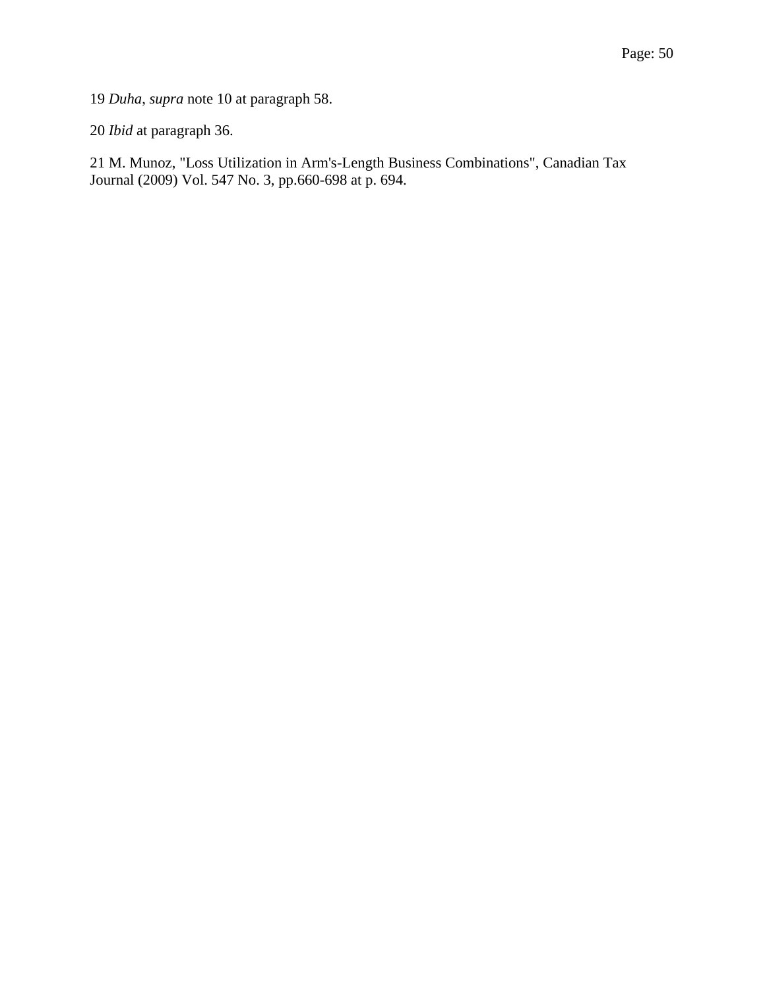19 *Duha*, *supra* note 10 at paragraph 58.

20 *Ibid* at paragraph 36.

21 M. Munoz, "Loss Utilization in Arm's-Length Business Combinations", Canadian Tax Journal (2009) Vol. 547 No. 3, pp.660-698 at p. 694.